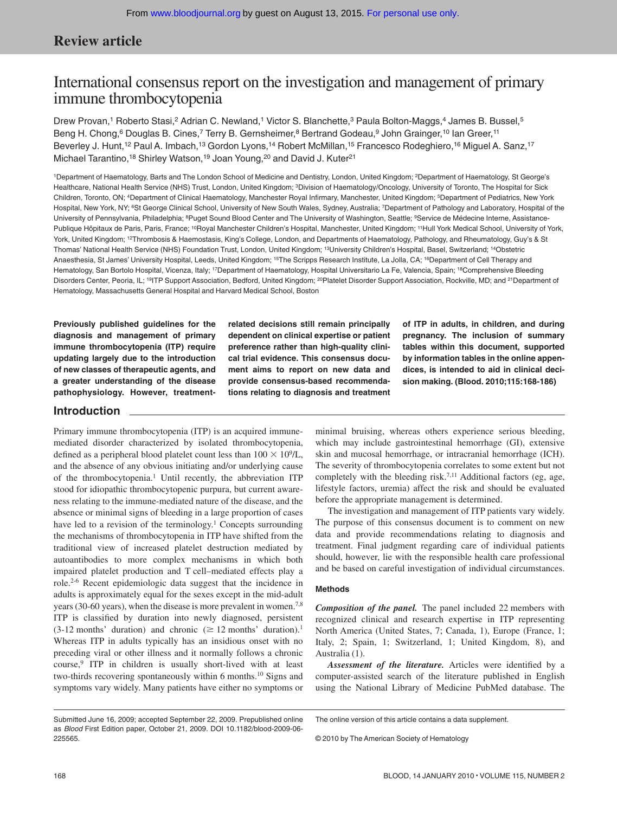## **Review article**

# International consensus report on the investigation and management of primary immune thrombocytopenia

Drew Provan,<sup>1</sup> Roberto Stasi,<sup>2</sup> Adrian C. Newland,<sup>1</sup> Victor S. Blanchette,<sup>3</sup> Paula Bolton-Maggs,<sup>4</sup> James B. Bussel,<sup>5</sup> Beng H. Chong,<sup>6</sup> Douglas B. Cines,<sup>7</sup> Terry B. Gernsheimer,<sup>8</sup> Bertrand Godeau,<sup>9</sup> John Grainger,<sup>10</sup> Ian Greer,<sup>11</sup> Beverley J. Hunt,<sup>12</sup> Paul A. Imbach,<sup>13</sup> Gordon Lyons,<sup>14</sup> Robert McMillan,<sup>15</sup> Francesco Rodeghiero,<sup>16</sup> Miguel A. Sanz,<sup>17</sup> Michael Tarantino,<sup>18</sup> Shirley Watson,<sup>19</sup> Joan Young,<sup>20</sup> and David J. Kuter<sup>21</sup>

1Department of Haematology, Barts and The London School of Medicine and Dentistry, London, United Kingdom; 2Department of Haematology, St George's Healthcare, National Health Service (NHS) Trust, London, United Kingdom; <sup>3</sup>Division of Haematology/Oncology, University of Toronto, The Hospital for Sick Children, Toronto, ON; 4Department of Clinical Haematology, Manchester Royal Infirmary, Manchester, United Kingdom; 5Department of Pediatrics, New York Hospital, New York, NY; <sup>6</sup>St George Clinical School, University of New South Wales, Sydney, Australia; 7Department of Pathology and Laboratory, Hospital of the University of Pennsylvania, Philadelphia; <sup>8</sup>Puget Sound Blood Center and The University of Washington, Seattle; <sup>9</sup>Service de Médecine Interne, Assistance-Publique Hôpitaux de Paris, Paris, France; <sup>10</sup>Royal Manchester Children's Hospital, Manchester, United Kingdom; <sup>11</sup>Hull York Medical School, University of York, York, United Kingdom; 12Thrombosis & Haemostasis, King's College, London, and Departments of Haematology, Pathology, and Rheumatology, Guy's & St Thomas' National Health Service (NHS) Foundation Trust, London, United Kingdom; 13University Children's Hospital, Basel, Switzerland; 14Obstetric Anaesthesia, St James' University Hospital, Leeds, United Kingdom; 15The Scripps Research Institute, La Jolla, CA; 16Department of Cell Therapy and Hematology, San Bortolo Hospital, Vicenza, Italy; <sup>17</sup>Department of Haematology, Hospital Universitario La Fe, Valencia, Spain; <sup>18</sup>Comprehensive Bleeding Disorders Center, Peoria, IL; <sup>19</sup>ITP Support Association, Bedford, United Kingdom; <sup>20</sup>Platelet Disorder Support Association, Rockville, MD; and <sup>21</sup>Department of Hematology, Massachusetts General Hospital and Harvard Medical School, Boston

**Previously published guidelines for the diagnosis and management of primary immune thrombocytopenia (ITP) require updating largely due to the introduction of new classes of therapeutic agents, and a greater understanding of the disease pathophysiology. However, treatment-** **related decisions still remain principally dependent on clinical expertise or patient preference rather than high-quality clinical trial evidence. This consensus document aims to report on new data and provide consensus-based recommendations relating to diagnosis and treatment**

**of ITP in adults, in children, and during pregnancy. The inclusion of summary tables within this document, supported by information tables in the online appendices, is intended to aid in clinical decision making. (Blood. 2010;115:168-186)**

## **Introduction**

Primary immune thrombocytopenia (ITP) is an acquired immunemediated disorder characterized by isolated thrombocytopenia, defined as a peripheral blood platelet count less than  $100 \times 10^9$ /L, and the absence of any obvious initiating and/or underlying cause of the thrombocytopenia.<sup>1</sup> Until recently, the abbreviation ITP stood for idiopathic thrombocytopenic purpura, but current awareness relating to the immune-mediated nature of the disease, and the absence or minimal signs of bleeding in a large proportion of cases have led to a revision of the terminology.<sup>1</sup> Concepts surrounding the mechanisms of thrombocytopenia in ITP have shifted from the traditional view of increased platelet destruction mediated by autoantibodies to more complex mechanisms in which both impaired platelet production and T cell–mediated effects play a role.2-6 Recent epidemiologic data suggest that the incidence in adults is approximately equal for the sexes except in the mid-adult years (30-60 years), when the disease is more prevalent in women.<sup>7,8</sup> ITP is classified by duration into newly diagnosed, persistent  $(3-12 \text{ months'}$  duration) and chronic  $( \geq 12 \text{ months'}$  duration).<sup>1</sup> Whereas ITP in adults typically has an insidious onset with no preceding viral or other illness and it normally follows a chronic course,9 ITP in children is usually short-lived with at least two-thirds recovering spontaneously within 6 months.10 Signs and symptoms vary widely. Many patients have either no symptoms or minimal bruising, whereas others experience serious bleeding, which may include gastrointestinal hemorrhage (GI), extensive skin and mucosal hemorrhage, or intracranial hemorrhage (ICH). The severity of thrombocytopenia correlates to some extent but not completely with the bleeding risk.<sup>7,11</sup> Additional factors (eg, age, lifestyle factors, uremia) affect the risk and should be evaluated before the appropriate management is determined.

The investigation and management of ITP patients vary widely. The purpose of this consensus document is to comment on new data and provide recommendations relating to diagnosis and treatment. Final judgment regarding care of individual patients should, however, lie with the responsible health care professional and be based on careful investigation of individual circumstances.

### **Methods**

*Composition of the panel.* The panel included 22 members with recognized clinical and research expertise in ITP representing North America (United States, 7; Canada, 1), Europe (France, 1; Italy, 2; Spain, 1; Switzerland, 1; United Kingdom, 8), and Australia (1).

*Assessment of the literature.* Articles were identified by a computer-assisted search of the literature published in English using the National Library of Medicine PubMed database. The

Submitted June 16, 2009; accepted September 22, 2009. Prepublished online as *Blood* First Edition paper, October 21, 2009. DOI 10.1182/blood-2009-06- 225565.

The online version of this article contains a data supplement.

<sup>© 2010</sup> by The American Society of Hematology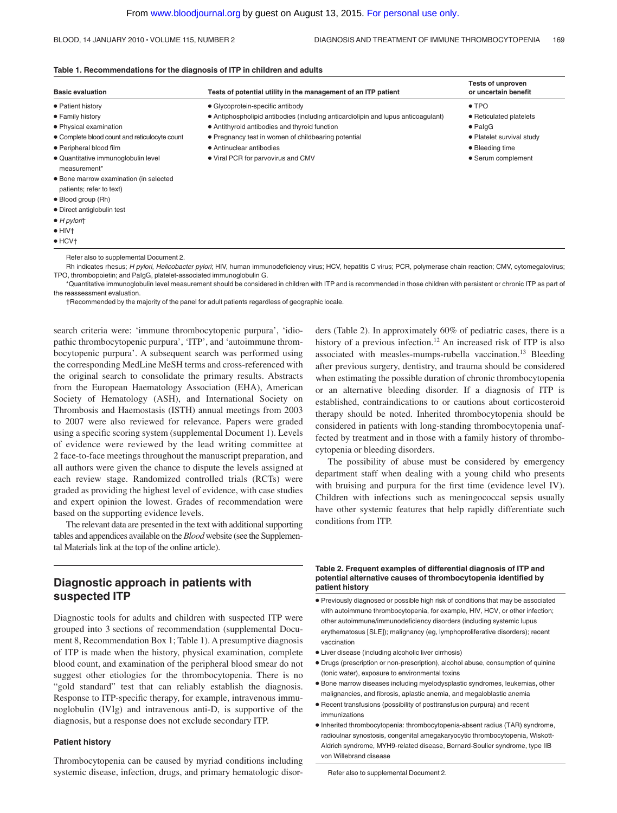#### BLOOD, 14 JANUARY 2010 · VOLUME 115, NUMBER 2 DIAGNOSIS AND TREATMENT OF IMMUNE THROMBOCYTOPENIA 169

|  | Table 1. Recommendations for the diagnosis of ITP in children and adults |  |  |  |  |  |
|--|--------------------------------------------------------------------------|--|--|--|--|--|
|--|--------------------------------------------------------------------------|--|--|--|--|--|

| <b>Basic evaluation</b>                                            | Tests of potential utility in the management of an ITP patient                    | <b>Tests of unproven</b><br>or uncertain benefit |
|--------------------------------------------------------------------|-----------------------------------------------------------------------------------|--------------------------------------------------|
| • Patient history                                                  | • Glycoprotein-specific antibody                                                  | $\bullet$ TPO                                    |
| • Family history                                                   | • Antiphospholipid antibodies (including anticardiolipin and lupus anticoagulant) | • Reticulated platelets                          |
| • Physical examination                                             | • Antithyroid antibodies and thyroid function                                     | $\bullet$ PalgG                                  |
| • Complete blood count and reticulocyte count                      | • Pregnancy test in women of childbearing potential                               | • Platelet survival study                        |
| • Peripheral blood film                                            | • Antinuclear antibodies                                                          | • Bleeding time                                  |
| • Quantitative immunoglobulin level<br>measurement <sup>*</sup>    | • Viral PCR for parvovirus and CMV                                                | • Serum complement                               |
| • Bone marrow examination (in selected<br>patients; refer to text) |                                                                                   |                                                  |
| • Blood group (Rh)                                                 |                                                                                   |                                                  |
| • Direct antiglobulin test                                         |                                                                                   |                                                  |
| $\bullet$ H pylori $\dagger$                                       |                                                                                   |                                                  |
| $\bullet$ HIV+                                                     |                                                                                   |                                                  |
| $\bullet$ HCV+                                                     |                                                                                   |                                                  |

Refer also to supplemental Document 2.

Rh indicates rhesus; *H pylori*, *Helicobacter pylori*; HIV, human immunodeficiency virus; HCV, hepatitis C virus; PCR, polymerase chain reaction; CMV, cytomegalovirus; TPO, thrombopoietin; and PaIgG, platelet-associated immunoglobulin G.

\*Quantitative immunoglobulin level measurement should be considered in children with ITP and is recommended in those children with persistent or chronic ITP as part of the reassessment evaluation.

†Recommended by the majority of the panel for adult patients regardless of geographic locale.

search criteria were: 'immune thrombocytopenic purpura', 'idiopathic thrombocytopenic purpura', 'ITP', and 'autoimmune thrombocytopenic purpura'. A subsequent search was performed using the corresponding MedLine MeSH terms and cross-referenced with the original search to consolidate the primary results. Abstracts from the European Haematology Association (EHA), American Society of Hematology (ASH), and International Society on Thrombosis and Haemostasis (ISTH) annual meetings from 2003 to 2007 were also reviewed for relevance. Papers were graded using a specific scoring system (supplemental Document 1). Levels of evidence were reviewed by the lead writing committee at 2 face-to-face meetings throughout the manuscript preparation, and all authors were given the chance to dispute the levels assigned at each review stage. Randomized controlled trials (RCTs) were graded as providing the highest level of evidence, with case studies and expert opinion the lowest. Grades of recommendation were based on the supporting evidence levels.

The relevant data are presented in the text with additional supporting tables and appendices available onthe*Blood*website (seethe Supplemental Materials link at the top of the online article).

## **Diagnostic approach in patients with suspected ITP**

Diagnostic tools for adults and children with suspected ITP were grouped into 3 sections of recommendation (supplemental Document 8, Recommendation Box 1; Table 1). A presumptive diagnosis of ITP is made when the history, physical examination, complete blood count, and examination of the peripheral blood smear do not suggest other etiologies for the thrombocytopenia. There is no "gold standard" test that can reliably establish the diagnosis. Response to ITP-specific therapy, for example, intravenous immunoglobulin (IVIg) and intravenous anti-D, is supportive of the diagnosis, but a response does not exclude secondary ITP.

#### **Patient history**

Thrombocytopenia can be caused by myriad conditions including systemic disease, infection, drugs, and primary hematologic disorders (Table 2). In approximately 60% of pediatric cases, there is a history of a previous infection.<sup>12</sup> An increased risk of ITP is also associated with measles-mumps-rubella vaccination.13 Bleeding after previous surgery, dentistry, and trauma should be considered when estimating the possible duration of chronic thrombocytopenia or an alternative bleeding disorder. If a diagnosis of ITP is established, contraindications to or cautions about corticosteroid therapy should be noted. Inherited thrombocytopenia should be considered in patients with long-standing thrombocytopenia unaffected by treatment and in those with a family history of thrombocytopenia or bleeding disorders.

The possibility of abuse must be considered by emergency department staff when dealing with a young child who presents with bruising and purpura for the first time (evidence level IV). Children with infections such as meningococcal sepsis usually have other systemic features that help rapidly differentiate such conditions from ITP.

#### **Table 2. Frequent examples of differential diagnosis of ITP and potential alternative causes of thrombocytopenia identified by patient history**

- Previously diagnosed or possible high risk of conditions that may be associated with autoimmune thrombocytopenia, for example, HIV, HCV, or other infection; other autoimmune/immunodeficiency disorders (including systemic lupus erythematosus [SLE]); malignancy (eg, lymphoproliferative disorders); recent vaccination
- Liver disease (including alcoholic liver cirrhosis)
- Drugs (prescription or non-prescription), alcohol abuse, consumption of quinine (tonic water), exposure to environmental toxins
- Bone marrow diseases including myelodysplastic syndromes, leukemias, other malignancies, and fibrosis, aplastic anemia, and megaloblastic anemia
- Recent transfusions (possibility of posttransfusion purpura) and recent immunizations
- Inherited thrombocytopenia: thrombocytopenia-absent radius (TAR) syndrome, radioulnar synostosis, congenital amegakaryocytic thrombocytopenia, Wiskott-Aldrich syndrome, MYH9-related disease, Bernard-Soulier syndrome, type IIB von Willebrand disease

Refer also to supplemental Document 2.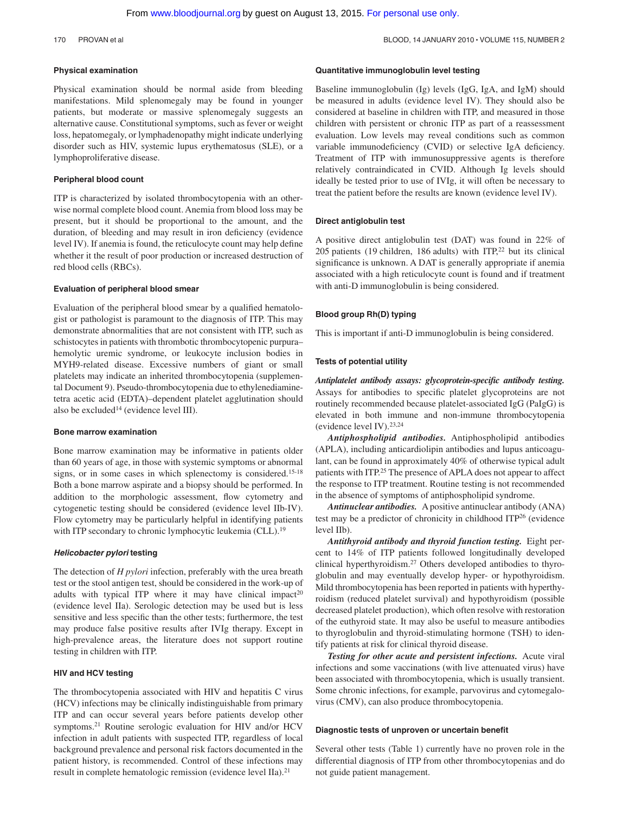#### **Physical examination**

Physical examination should be normal aside from bleeding manifestations. Mild splenomegaly may be found in younger patients, but moderate or massive splenomegaly suggests an alternative cause. Constitutional symptoms, such as fever or weight loss, hepatomegaly, or lymphadenopathy might indicate underlying disorder such as HIV, systemic lupus erythematosus (SLE), or a lymphoproliferative disease.

#### **Peripheral blood count**

ITP is characterized by isolated thrombocytopenia with an otherwise normal complete blood count. Anemia from blood loss may be present, but it should be proportional to the amount, and the duration, of bleeding and may result in iron deficiency (evidence level IV). If anemia is found, the reticulocyte count may help define whether it the result of poor production or increased destruction of red blood cells (RBCs).

#### **Evaluation of peripheral blood smear**

Evaluation of the peripheral blood smear by a qualified hematologist or pathologist is paramount to the diagnosis of ITP. This may demonstrate abnormalities that are not consistent with ITP, such as schistocytes in patients with thrombotic thrombocytopenic purpura– hemolytic uremic syndrome, or leukocyte inclusion bodies in MYH9-related disease. Excessive numbers of giant or small platelets may indicate an inherited thrombocytopenia (supplemental Document 9). Pseudo-thrombocytopenia due to ethylenediaminetetra acetic acid (EDTA)–dependent platelet agglutination should also be excluded<sup>14</sup> (evidence level III).

#### **Bone marrow examination**

Bone marrow examination may be informative in patients older than 60 years of age, in those with systemic symptoms or abnormal signs, or in some cases in which splenectomy is considered.<sup>15-18</sup> Both a bone marrow aspirate and a biopsy should be performed. In addition to the morphologic assessment, flow cytometry and cytogenetic testing should be considered (evidence level IIb-IV). Flow cytometry may be particularly helpful in identifying patients with ITP secondary to chronic lymphocytic leukemia (CLL).<sup>19</sup>

### *Helicobacter pylori* **testing**

The detection of *H pylori* infection, preferably with the urea breath test or the stool antigen test, should be considered in the work-up of adults with typical ITP where it may have clinical impact<sup>20</sup> (evidence level IIa). Serologic detection may be used but is less sensitive and less specific than the other tests; furthermore, the test may produce false positive results after IVIg therapy. Except in high-prevalence areas, the literature does not support routine testing in children with ITP.

## **HIV and HCV testing**

The thrombocytopenia associated with HIV and hepatitis C virus (HCV) infections may be clinically indistinguishable from primary ITP and can occur several years before patients develop other symptoms.21 Routine serologic evaluation for HIV and/or HCV infection in adult patients with suspected ITP, regardless of local background prevalence and personal risk factors documented in the patient history, is recommended. Control of these infections may result in complete hematologic remission (evidence level IIa).<sup>21</sup>

## 170 PROVAN et al BLOOD, 14 JANUARY 2010 • VOLUME 115, NUMBER 2

### **Quantitative immunoglobulin level testing**

Baseline immunoglobulin (Ig) levels (IgG, IgA, and IgM) should be measured in adults (evidence level IV). They should also be considered at baseline in children with ITP, and measured in those children with persistent or chronic ITP as part of a reassessment evaluation. Low levels may reveal conditions such as common variable immunodeficiency (CVID) or selective IgA deficiency. Treatment of ITP with immunosuppressive agents is therefore relatively contraindicated in CVID. Although Ig levels should ideally be tested prior to use of IVIg, it will often be necessary to treat the patient before the results are known (evidence level IV).

## **Direct antiglobulin test**

A positive direct antiglobulin test (DAT) was found in 22% of 205 patients (19 children, 186 adults) with  $ITP<sub>1</sub><sup>22</sup>$  but its clinical significance is unknown. A DAT is generally appropriate if anemia associated with a high reticulocyte count is found and if treatment with anti-D immunoglobulin is being considered.

#### **Blood group Rh(D) typing**

This is important if anti-D immunoglobulin is being considered.

#### **Tests of potential utility**

*Antiplatelet antibody assays: glycoprotein-specific antibody testing.* Assays for antibodies to specific platelet glycoproteins are not routinely recommended because platelet-associated IgG (PaIgG) is elevated in both immune and non-immune thrombocytopenia (evidence level IV).23,24

*Antiphospholipid antibodies.* Antiphospholipid antibodies (APLA), including anticardiolipin antibodies and lupus anticoagulant, can be found in approximately 40% of otherwise typical adult patients with ITP.25 The presence of APLA does not appear to affect the response to ITP treatment. Routine testing is not recommended in the absence of symptoms of antiphospholipid syndrome.

*Antinuclear antibodies.* A positive antinuclear antibody (ANA) test may be a predictor of chronicity in childhood ITP26 (evidence level IIb).

*Antithyroid antibody and thyroid function testing.* Eight percent to 14% of ITP patients followed longitudinally developed clinical hyperthyroidism.27 Others developed antibodies to thyroglobulin and may eventually develop hyper- or hypothyroidism. Mild thrombocytopenia has been reported in patients with hyperthyroidism (reduced platelet survival) and hypothyroidism (possible decreased platelet production), which often resolve with restoration of the euthyroid state. It may also be useful to measure antibodies to thyroglobulin and thyroid-stimulating hormone (TSH) to identify patients at risk for clinical thyroid disease.

*Testing for other acute and persistent infections.* Acute viral infections and some vaccinations (with live attenuated virus) have been associated with thrombocytopenia, which is usually transient. Some chronic infections, for example, parvovirus and cytomegalovirus (CMV), can also produce thrombocytopenia.

#### **Diagnostic tests of unproven or uncertain benefit**

Several other tests (Table 1) currently have no proven role in the differential diagnosis of ITP from other thrombocytopenias and do not guide patient management.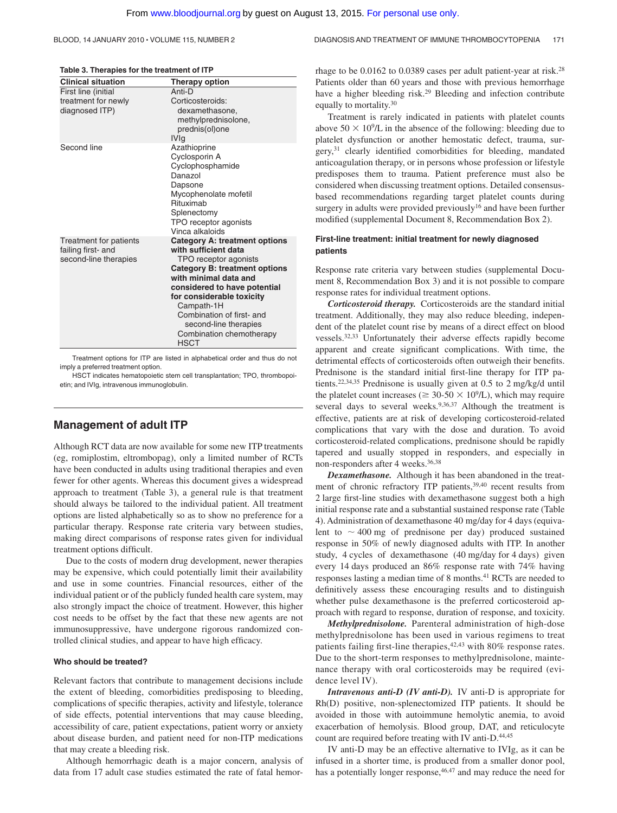| Table 3. Therapies for the treatment of ITP |                                                               |  |  |  |
|---------------------------------------------|---------------------------------------------------------------|--|--|--|
| <b>Clinical situation</b>                   | Therapy option                                                |  |  |  |
| First line (initial                         | Anti-D                                                        |  |  |  |
| treatment for newly                         | Corticosteroids:                                              |  |  |  |
| diagnosed ITP)                              | dexamethasone,                                                |  |  |  |
|                                             | methylprednisolone,                                           |  |  |  |
|                                             | prednis(ol)one                                                |  |  |  |
|                                             | <b>IVIq</b>                                                   |  |  |  |
| Second line                                 | Azathioprine<br>Cyclosporin A                                 |  |  |  |
|                                             | Cyclophosphamide                                              |  |  |  |
|                                             | Danazol                                                       |  |  |  |
|                                             | Dapsone                                                       |  |  |  |
|                                             | Mycophenolate mofetil                                         |  |  |  |
|                                             | Rituximab                                                     |  |  |  |
|                                             | Splenectomy                                                   |  |  |  |
|                                             | TPO receptor agonists                                         |  |  |  |
|                                             | Vinca alkaloids                                               |  |  |  |
| Treatment for patients                      | <b>Category A: treatment options</b>                          |  |  |  |
| failing first- and                          | with sufficient data                                          |  |  |  |
| second-line therapies                       | TPO receptor agonists                                         |  |  |  |
|                                             | <b>Category B: treatment options</b><br>with minimal data and |  |  |  |
|                                             | considered to have potential                                  |  |  |  |
|                                             | for considerable toxicity                                     |  |  |  |
|                                             | Campath-1H                                                    |  |  |  |
|                                             | Combination of first- and                                     |  |  |  |
|                                             | second-line therapies                                         |  |  |  |
|                                             | Combination chemotherapy                                      |  |  |  |
|                                             | <b>HSCT</b>                                                   |  |  |  |

Treatment options for ITP are listed in alphabetical order and thus do not imply a preferred treatment option.

HSCT indicates hematopoietic stem cell transplantation; TPO, thrombopoietin; and IVIg, intravenous immunoglobulin.

## **Management of adult ITP**

Although RCT data are now available for some new ITP treatments (eg, romiplostim, eltrombopag), only a limited number of RCTs have been conducted in adults using traditional therapies and even fewer for other agents. Whereas this document gives a widespread approach to treatment (Table 3), a general rule is that treatment should always be tailored to the individual patient. All treatment options are listed alphabetically so as to show no preference for a particular therapy. Response rate criteria vary between studies, making direct comparisons of response rates given for individual treatment options difficult.

Due to the costs of modern drug development, newer therapies may be expensive, which could potentially limit their availability and use in some countries. Financial resources, either of the individual patient or of the publicly funded health care system, may also strongly impact the choice of treatment. However, this higher cost needs to be offset by the fact that these new agents are not immunosuppressive, have undergone rigorous randomized controlled clinical studies, and appear to have high efficacy.

### **Who should be treated?**

Relevant factors that contribute to management decisions include the extent of bleeding, comorbidities predisposing to bleeding, complications of specific therapies, activity and lifestyle, tolerance of side effects, potential interventions that may cause bleeding, accessibility of care, patient expectations, patient worry or anxiety about disease burden, and patient need for non-ITP medications that may create a bleeding risk.

Although hemorrhagic death is a major concern, analysis of data from 17 adult case studies estimated the rate of fatal hemor-

BLOOD, 14 JANUARY 2010 · VOLUME 115, NUMBER 2 DIAGNOSIS AND TREATMENT OF IMMUNE THROMBOCYTOPENIA 171

rhage to be 0.0162 to 0.0389 cases per adult patient-year at risk.28 Patients older than 60 years and those with previous hemorrhage have a higher bleeding risk.29 Bleeding and infection contribute equally to mortality.30

Treatment is rarely indicated in patients with platelet counts above  $50 \times 10^9$ /L in the absence of the following: bleeding due to platelet dysfunction or another hemostatic defect, trauma, surgery,31 clearly identified comorbidities for bleeding, mandated anticoagulation therapy, or in persons whose profession or lifestyle predisposes them to trauma. Patient preference must also be considered when discussing treatment options. Detailed consensusbased recommendations regarding target platelet counts during surgery in adults were provided previously<sup>16</sup> and have been further modified (supplemental Document 8, Recommendation Box 2).

### **First-line treatment: initial treatment for newly diagnosed patients**

Response rate criteria vary between studies (supplemental Document 8, Recommendation Box 3) and it is not possible to compare response rates for individual treatment options.

*Corticosteroid therapy.* Corticosteroids are the standard initial treatment. Additionally, they may also reduce bleeding, independent of the platelet count rise by means of a direct effect on blood vessels.32,33 Unfortunately their adverse effects rapidly become apparent and create significant complications. With time, the detrimental effects of corticosteroids often outweigh their benefits. Prednisone is the standard initial first-line therapy for ITP patients.22,34,35 Prednisone is usually given at 0.5 to 2 mg/kg/d until the platelet count increases ( $\geq 30{\text -}50 \times 10^9$ /L), which may require several days to several weeks.<sup>9,36,37</sup> Although the treatment is effective, patients are at risk of developing corticosteroid-related complications that vary with the dose and duration. To avoid corticosteroid-related complications, prednisone should be rapidly tapered and usually stopped in responders, and especially in non-responders after 4 weeks.36,38

*Dexamethasone.* Although it has been abandoned in the treatment of chronic refractory ITP patients, 39,40 recent results from 2 large first-line studies with dexamethasone suggest both a high initial response rate and a substantial sustained response rate (Table 4). Administration of dexamethasone 40 mg/day for 4 days (equivalent to  $\sim$  400 mg of prednisone per day) produced sustained response in 50% of newly diagnosed adults with ITP. In another study, 4 cycles of dexamethasone (40 mg/day for 4 days) given every 14 days produced an 86% response rate with 74% having responses lasting a median time of 8 months.41 RCTs are needed to definitively assess these encouraging results and to distinguish whether pulse dexamethasone is the preferred corticosteroid approach with regard to response, duration of response, and toxicity.

*Methylprednisolone.* Parenteral administration of high-dose methylprednisolone has been used in various regimens to treat patients failing first-line therapies,<sup>42,43</sup> with 80% response rates. Due to the short-term responses to methylprednisolone, maintenance therapy with oral corticosteroids may be required (evidence level IV).

*Intravenous anti-D (IV anti-D).* IV anti-D is appropriate for Rh(D) positive, non-splenectomized ITP patients. It should be avoided in those with autoimmune hemolytic anemia, to avoid exacerbation of hemolysis. Blood group, DAT, and reticulocyte count are required before treating with IV anti-D.<sup>44,45</sup>

IV anti-D may be an effective alternative to IVIg, as it can be infused in a shorter time, is produced from a smaller donor pool, has a potentially longer response,  $46,47$  and may reduce the need for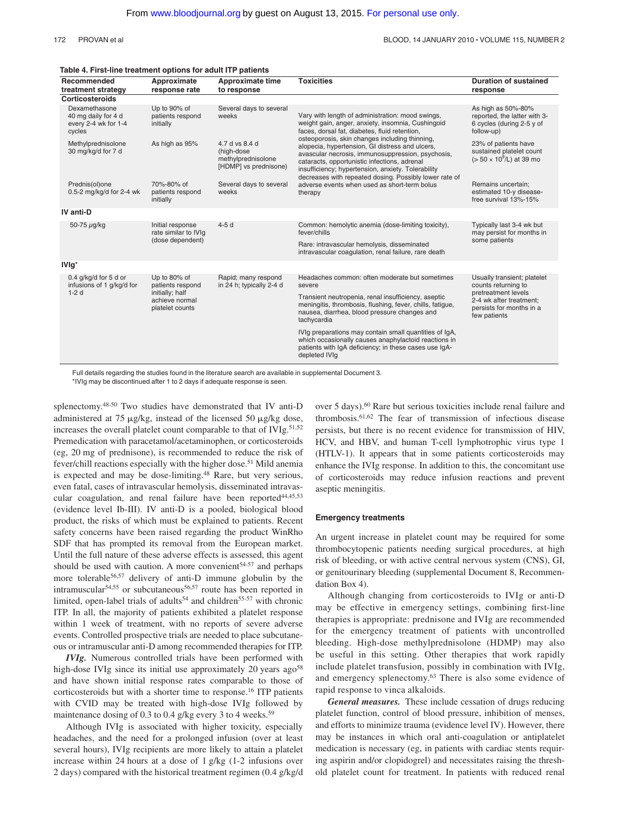#### 172 PROVAN et al BLOOD, 14 JANUARY 2010 • VOLUME 115, NUMBER 2

| Recommended<br>treatment strategy                                      | Approximate<br>response rate                                                             | Approximate time<br>to response                                             | <b>Toxicities</b>                                                                                                                                                                                                                                                                                                      | <b>Duration of sustained</b><br>response                                                      |
|------------------------------------------------------------------------|------------------------------------------------------------------------------------------|-----------------------------------------------------------------------------|------------------------------------------------------------------------------------------------------------------------------------------------------------------------------------------------------------------------------------------------------------------------------------------------------------------------|-----------------------------------------------------------------------------------------------|
| <b>Corticosteroids</b>                                                 |                                                                                          |                                                                             |                                                                                                                                                                                                                                                                                                                        |                                                                                               |
| Dexamethasone<br>40 mg daily for 4 d<br>every 2-4 wk for 1-4<br>cycles | Up to 90% of<br>patients respond<br>initially                                            | Several days to several<br>weeks                                            | Vary with length of administration: mood swings,<br>weight gain, anger, anxiety, insomnia, Cushingoid<br>faces, dorsal fat, diabetes, fluid retention,                                                                                                                                                                 | As high as 50%-80%<br>reported, the latter with 3-<br>6 cycles (during 2-5 y of<br>follow-up) |
| Methylprednisolone<br>30 mg/kg/d for 7 d                               | As high as 95%                                                                           | 4.7 d vs 8.4 d<br>(high-dose<br>methylprednisolone<br>[HDMP] vs prednisone) | osteoporosis, skin changes including thinning,<br>alopecia, hypertension, GI distress and ulcers,<br>avascular necrosis, immunosuppression, psychosis,<br>cataracts, opportunistic infections, adrenal<br>insufficiency; hypertension, anxiety. Tolerability<br>decreases with repeated dosing. Possibly lower rate of | 23% of patients have<br>sustained platelet count<br>$(> 50 \times 10^{9}$ /L) at 39 mo        |
| Prednis(ol)one<br>0.5-2 mg/kg/d for 2-4 wk                             | 70%-80% of<br>patients respond<br>initially                                              | Several days to several<br>weeks                                            | adverse events when used as short-term bolus<br>therapy                                                                                                                                                                                                                                                                | Remains uncertain:<br>estimated 10-y disease-<br>free survival 13%-15%                        |
| IV anti-D                                                              |                                                                                          |                                                                             |                                                                                                                                                                                                                                                                                                                        |                                                                                               |
| 50-75 µg/kg                                                            | Initial response<br>rate similar to IVIq<br>(dose dependent)                             | $4-5d$                                                                      | Common: hemolytic anemia (dose-limiting toxicity),<br>fever/chills                                                                                                                                                                                                                                                     | Typically last 3-4 wk but<br>may persist for months in<br>some patients                       |
|                                                                        |                                                                                          |                                                                             | Rare: intravascular hemolysis, disseminated<br>intravascular coaqulation, renal failure, rare death                                                                                                                                                                                                                    |                                                                                               |
| IVIg*                                                                  |                                                                                          |                                                                             |                                                                                                                                                                                                                                                                                                                        |                                                                                               |
| 0.4 $g/kg/d$ for 5 d or<br>infusions of 1 g/kg/d for<br>$1-2d$         | Up to 80% of<br>patients respond<br>initially; half<br>achieve normal<br>platelet counts | Rapid; many respond<br>in 24 h; typically 2-4 d                             | Headaches common: often moderate but sometimes<br>severe                                                                                                                                                                                                                                                               | Usually transient; platelet<br>counts returning to                                            |
|                                                                        |                                                                                          |                                                                             | Transient neutropenia, renal insufficiency, aseptic<br>meningitis, thrombosis, flushing, fever, chills, fatique,<br>nausea, diarrhea, blood pressure changes and<br>tachycardia                                                                                                                                        | pretreatment levels<br>2-4 wk after treatment;<br>persists for months in a<br>few patients    |
|                                                                        |                                                                                          |                                                                             | IVIg preparations may contain small quantities of IgA,<br>which occasionally causes anaphylactoid reactions in<br>patients with IqA deficiency; in these cases use IqA-<br>depleted IVIg                                                                                                                               |                                                                                               |

**Table 4. First-line treatment options for adult ITP patients**

Full details regarding the studies found in the literature search are available in supplemental Document 3.

\*IVIg may be discontinued after 1 to 2 days if adequate response is seen.

splenectomy.48-50 Two studies have demonstrated that IV anti-D administered at 75  $\mu$ g/kg, instead of the licensed 50  $\mu$ g/kg dose, increases the overall platelet count comparable to that of  $IVIg.51,52$ Premedication with paracetamol/acetaminophen, or corticosteroids (eg, 20 mg of prednisone), is recommended to reduce the risk of fever/chill reactions especially with the higher dose.<sup>51</sup> Mild anemia is expected and may be dose-limiting.<sup>48</sup> Rare, but very serious, even fatal, cases of intravascular hemolysis, disseminated intravascular coagulation, and renal failure have been reported $44,45,53$ (evidence level Ib-III). IV anti-D is a pooled, biological blood product, the risks of which must be explained to patients. Recent safety concerns have been raised regarding the product WinRho SDF that has prompted its removal from the European market. Until the full nature of these adverse effects is assessed, this agent should be used with caution. A more convenient  $54-57$  and perhaps more tolerable<sup>56,57</sup> delivery of anti-D immune globulin by the intramuscular<sup>54,55</sup> or subcutaneous<sup>56,57</sup> route has been reported in limited, open-label trials of adults<sup>54</sup> and children<sup>55-57</sup> with chronic ITP. In all, the majority of patients exhibited a platelet response within 1 week of treatment, with no reports of severe adverse events. Controlled prospective trials are needed to place subcutaneous or intramuscular anti-D among recommended therapies for ITP.

*IVIg.* Numerous controlled trials have been performed with high-dose IVIg since its initial use approximately 20 years ago<sup>58</sup> and have shown initial response rates comparable to those of corticosteroids but with a shorter time to response.16 ITP patients with CVID may be treated with high-dose IVIg followed by maintenance dosing of 0.3 to 0.4 g/kg every 3 to 4 weeks.<sup>59</sup>

Although IVIg is associated with higher toxicity, especially headaches, and the need for a prolonged infusion (over at least several hours), IVIg recipients are more likely to attain a platelet increase within 24 hours at a dose of 1 g/kg (1-2 infusions over 2 days) compared with the historical treatment regimen (0.4 g/kg/d over 5 days).60 Rare but serious toxicities include renal failure and thrombosis.61,62 The fear of transmission of infectious disease persists, but there is no recent evidence for transmission of HIV, HCV, and HBV, and human T-cell lymphotrophic virus type 1 (HTLV-1). It appears that in some patients corticosteroids may enhance the IVIg response. In addition to this, the concomitant use of corticosteroids may reduce infusion reactions and prevent aseptic meningitis.

#### **Emergency treatments**

An urgent increase in platelet count may be required for some thrombocytopenic patients needing surgical procedures, at high risk of bleeding, or with active central nervous system (CNS), GI, or genitourinary bleeding (supplemental Document 8, Recommendation Box 4).

Although changing from corticosteroids to IVIg or anti-D may be effective in emergency settings, combining first-line therapies is appropriate: prednisone and IVIg are recommended for the emergency treatment of patients with uncontrolled bleeding. High-dose methylprednisolone (HDMP) may also be useful in this setting. Other therapies that work rapidly include platelet transfusion, possibly in combination with IVIg, and emergency splenectomy.63 There is also some evidence of rapid response to vinca alkaloids.

*General measures.* These include cessation of drugs reducing platelet function, control of blood pressure, inhibition of menses, and efforts to minimize trauma (evidence level IV). However, there may be instances in which oral anti-coagulation or antiplatelet medication is necessary (eg, in patients with cardiac stents requiring aspirin and/or clopidogrel) and necessitates raising the threshold platelet count for treatment. In patients with reduced renal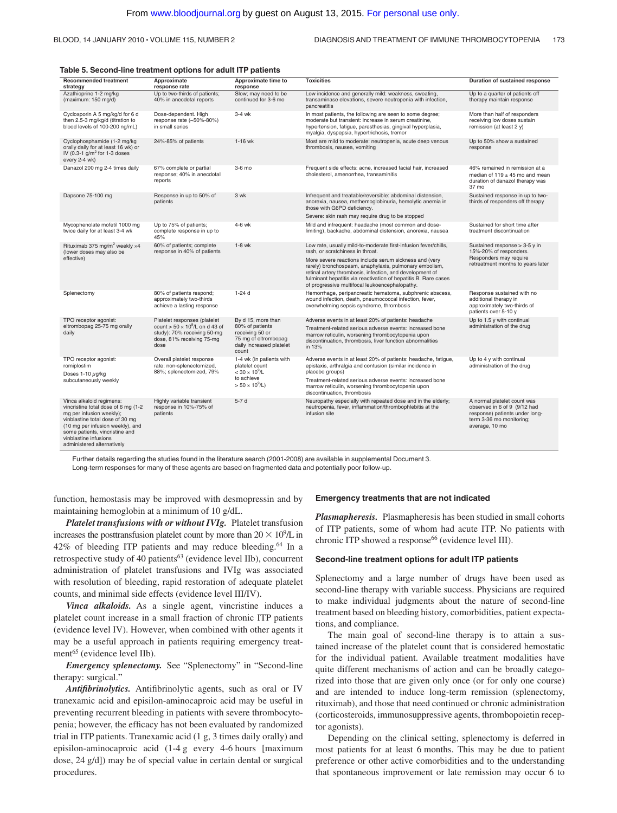#### BLOOD, 14 JANUARY 2010 · VOLUME 115, NUMBER 2 DIAGNOSIS AND TREATMENT OF IMMUNE THROMBOCYTOPENIA 173

#### **Table 5. Second-line treatment options for adult ITP patients**

| <b>Recommended treatment</b><br>strategy                                                                                                                                                                                                                     | Approximate<br>response rate                                                                               | Approximate time to<br>response                                                                 | <b>Toxicities</b>                                                                                                                                                                                                                                                                                 | Duration of sustained response                                                                                                              |
|--------------------------------------------------------------------------------------------------------------------------------------------------------------------------------------------------------------------------------------------------------------|------------------------------------------------------------------------------------------------------------|-------------------------------------------------------------------------------------------------|---------------------------------------------------------------------------------------------------------------------------------------------------------------------------------------------------------------------------------------------------------------------------------------------------|---------------------------------------------------------------------------------------------------------------------------------------------|
| Azathioprine 1-2 mg/kg<br>(maximum: 150 mg/d)                                                                                                                                                                                                                | Up to two-thirds of patients;<br>40% in anecdotal reports                                                  | Slow; may need to be<br>continued for 3-6 mo                                                    | Low incidence and generally mild: weakness, sweating,<br>transaminase elevations, severe neutropenia with infection,<br>pancreatitis                                                                                                                                                              | Up to a quarter of patients off<br>therapy maintain response                                                                                |
| Cyclosporin A 5 mg/kg/d for 6 d<br>then 2.5-3 mg/kg/d (titration to<br>blood levels of 100-200 ng/mL)                                                                                                                                                        | Dose-dependent. High<br>response rate (~50%-80%)<br>in small series                                        | $3-4$ wk                                                                                        | In most patients, the following are seen to some degree;<br>moderate but transient: increase in serum creatinine,<br>hypertension, fatigue, paresthesias, gingival hyperplasia,<br>myalgia, dyspepsia, hypertrichosis, tremor                                                                     | More than half of responders<br>receiving low doses sustain<br>remission (at least 2 y)                                                     |
| Cyclophosphamide (1-2 mg/kg)<br>orally daily for at least 16 wk) or<br>IV (0.3-1 $q/m^2$ for 1-3 doses<br>every 2-4 wk)                                                                                                                                      | 24%-85% of patients                                                                                        | 1-16 wk                                                                                         | Most are mild to moderate: neutropenia, acute deep venous<br>thrombosis, nausea, vomiting                                                                                                                                                                                                         | Up to 50% show a sustained<br>response                                                                                                      |
| Danazol 200 mg 2-4 times daily                                                                                                                                                                                                                               | 67% complete or partial<br>response; 40% in anecdotal<br>reports                                           | 3-6 mo                                                                                          | Frequent side effects: acne, increased facial hair, increased<br>cholesterol, amenorrhea, transaminitis                                                                                                                                                                                           | 46% remained in remission at a<br>median of 119 $\pm$ 45 mo and mean<br>duration of danazol therapy was<br>37 mo                            |
| Dapsone 75-100 mg                                                                                                                                                                                                                                            | Response in up to 50% of<br>patients                                                                       | 3 wk                                                                                            | Infrequent and treatable/reversible: abdominal distension,<br>anorexia, nausea, methemoglobinuria, hemolytic anemia in<br>those with G6PD deficiency.                                                                                                                                             | Sustained response in up to two-<br>thirds of responders off therapy                                                                        |
| Mycophenolate mofetil 1000 mg                                                                                                                                                                                                                                | Up to 75% of patients;                                                                                     | 4-6 wk                                                                                          | Severe: skin rash may require drug to be stopped<br>Mild and infrequent: headache (most common and dose-                                                                                                                                                                                          | Sustained for short time after                                                                                                              |
| twice daily for at least 3-4 wk                                                                                                                                                                                                                              | complete response in up to<br>45%                                                                          |                                                                                                 | limiting), backache, abdominal distension, anorexia, nausea                                                                                                                                                                                                                                       | treatment discontinuation                                                                                                                   |
| Rituximab 375 mg/m <sup>2</sup> weekly $\times$ 4<br>(lower doses may also be                                                                                                                                                                                | 60% of patients; complete<br>response in 40% of patients                                                   | $1-8$ wk                                                                                        | Low rate, usually mild-to-moderate first-infusion fever/chills,<br>rash, or scratchiness in throat.                                                                                                                                                                                               | Sustained response $>$ 3-5 y in<br>15%-20% of responders.                                                                                   |
| effective)                                                                                                                                                                                                                                                   |                                                                                                            |                                                                                                 | More severe reactions include serum sickness and (very<br>rarely) bronchospasm, anaphylaxis, pulmonary embolism,<br>retinal artery thrombosis, infection, and development of<br>fulminant hepatitis via reactivation of hepatitis B. Rare cases<br>of progressive multifocal leukoencephalopathy. | Responders may require<br>retreatment months to years later                                                                                 |
| Splenectomy                                                                                                                                                                                                                                                  | 80% of patients respond;<br>approximately two-thirds<br>achieve a lasting response                         | $1-24d$                                                                                         | Hemorrhage, peripancreatic hematoma, subphrenic abscess,<br>wound infection, death, pneumococcal infection, fever,<br>overwhelming sepsis syndrome, thrombosis                                                                                                                                    | Response sustained with no<br>additional therapy in<br>approximately two-thirds of<br>patients over 5-10 y                                  |
| TPO receptor agonist:                                                                                                                                                                                                                                        | Platelet responses (platelet                                                                               | By d 15, more than                                                                              | Adverse events in at least 20% of patients: headache                                                                                                                                                                                                                                              | Up to 1.5 y with continual                                                                                                                  |
| eltrombopag 25-75 mg orally<br>daily                                                                                                                                                                                                                         | count > $50 \times 10^9$ /L on d 43 of<br>study): 70% receiving 50-mg<br>dose, 81% receiving 75-mg<br>dose | 80% of patients<br>receiving 50 or<br>75 mg of eltrombopag<br>daily increased platelet<br>count | Treatment-related serious adverse events: increased bone<br>marrow reticulin, worsening thrombocytopenia upon<br>discontinuation, thrombosis, liver function abnormalities<br>in 13%                                                                                                              | administration of the drug                                                                                                                  |
| TPO receptor agonist:<br>romiplostim<br>Doses $1-10 \mu q/kg$                                                                                                                                                                                                | Overall platelet response<br>rate: non-splenectomized,<br>88%; splenectomized, 79%                         | 1-4 wk (in patients with<br>platelet count<br>$<$ 30 $\times$ 10 <sup>9</sup> /L                | Adverse events in at least 20% of patients: headache, fatique,<br>epistaxis, arthralgia and contusion (similar incidence in<br>placebo groups)                                                                                                                                                    | Up to 4 y with continual<br>administration of the drug                                                                                      |
| subcutaneously weekly                                                                                                                                                                                                                                        |                                                                                                            | to achieve<br>$> 50 \times 10^{9}$ /L)                                                          | Treatment-related serious adverse events: increased bone<br>marrow reticulin, worsening thrombocytopenia upon<br>discontinuation, thrombosis                                                                                                                                                      |                                                                                                                                             |
| Vinca alkaloid regimens:<br>vincristine total dose of 6 mg (1-2)<br>mg per infusion weekly);<br>vinblastine total dose of 30 mg<br>(10 mg per infusion weekly), and<br>some patients, vincristine and<br>vinblastine infusions<br>administered alternatively | Highly variable transient<br>response in 10%-75% of<br>patients                                            | $5-7d$                                                                                          | Neuropathy especially with repeated dose and in the elderly;<br>neutropenia, fever, inflammation/thrombophlebitis at the<br>infusion site                                                                                                                                                         | A normal platelet count was<br>observed in 6 of 9 (9/12 had<br>response) patients under long-<br>term 3-36 mo monitoring;<br>average, 10 mo |

Further details regarding the studies found in the literature search (2001-2008) are available in supplemental Document 3. Long-term responses for many of these agents are based on fragmented data and potentially poor follow-up.

function, hemostasis may be improved with desmopressin and by maintaining hemoglobin at a minimum of 10 g/dL.

*Platelet transfusions with or without IVIg.* Platelet transfusion increases the posttransfusion platelet count by more than  $20 \times 10^9$ /L in 42% of bleeding ITP patients and may reduce bleeding.64 In a retrospective study of 40 patients<sup>63</sup> (evidence level IIb), concurrent administration of platelet transfusions and IVIg was associated with resolution of bleeding, rapid restoration of adequate platelet counts, and minimal side effects (evidence level III/IV).

*Vinca alkaloids.* As a single agent, vincristine induces a platelet count increase in a small fraction of chronic ITP patients (evidence level IV). However, when combined with other agents it may be a useful approach in patients requiring emergency treatment<sup>65</sup> (evidence level IIb).

*Emergency splenectomy.* See "Splenectomy" in "Second-line therapy: surgical."

*Antifibrinolytics.* Antifibrinolytic agents, such as oral or IV tranexamic acid and episilon-aminocaproic acid may be useful in preventing recurrent bleeding in patients with severe thrombocytopenia; however, the efficacy has not been evaluated by randomized trial in ITP patients. Tranexamic acid (1 g, 3 times daily orally) and episilon-aminocaproic acid (1-4 g every 4-6 hours [maximum dose, 24 g/d]) may be of special value in certain dental or surgical procedures.

### **Emergency treatments that are not indicated**

*Plasmapheresis.* Plasmapheresis has been studied in small cohorts of ITP patients, some of whom had acute ITP. No patients with chronic ITP showed a response<sup>66</sup> (evidence level III).

### **Second-line treatment options for adult ITP patients**

Splenectomy and a large number of drugs have been used as second-line therapy with variable success. Physicians are required to make individual judgments about the nature of second-line treatment based on bleeding history, comorbidities, patient expectations, and compliance.

The main goal of second-line therapy is to attain a sustained increase of the platelet count that is considered hemostatic for the individual patient. Available treatment modalities have quite different mechanisms of action and can be broadly categorized into those that are given only once (or for only one course) and are intended to induce long-term remission (splenectomy, rituximab), and those that need continued or chronic administration (corticosteroids, immunosuppressive agents, thrombopoietin receptor agonists).

Depending on the clinical setting, splenectomy is deferred in most patients for at least 6 months. This may be due to patient preference or other active comorbidities and to the understanding that spontaneous improvement or late remission may occur 6 to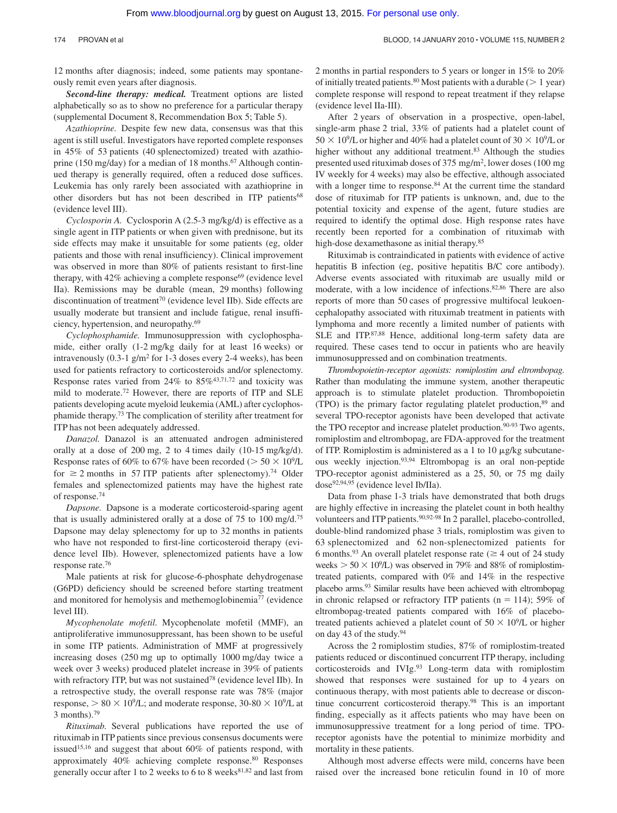12 months after diagnosis; indeed, some patients may spontaneously remit even years after diagnosis.

*Second-line therapy: medical.* Treatment options are listed alphabetically so as to show no preference for a particular therapy (supplemental Document 8, Recommendation Box 5; Table 5).

*Azathioprine.* Despite few new data, consensus was that this agent is still useful. Investigators have reported complete responses in 45% of 53 patients (40 splenectomized) treated with azathioprine (150 mg/day) for a median of 18 months.<sup>67</sup> Although continued therapy is generally required, often a reduced dose suffices. Leukemia has only rarely been associated with azathioprine in other disorders but has not been described in ITP patients<sup>68</sup> (evidence level III).

*Cyclosporin A.* Cyclosporin A (2.5-3 mg/kg/d) is effective as a single agent in ITP patients or when given with prednisone, but its side effects may make it unsuitable for some patients (eg, older patients and those with renal insufficiency). Clinical improvement was observed in more than 80% of patients resistant to first-line therapy, with  $42\%$  achieving a complete response<sup>69</sup> (evidence level IIa). Remissions may be durable (mean, 29 months) following discontinuation of treatment<sup>70</sup> (evidence level IIb). Side effects are usually moderate but transient and include fatigue, renal insufficiency, hypertension, and neuropathy.69

*Cyclophosphamide.* Immunosuppression with cyclophosphamide, either orally (1-2 mg/kg daily for at least 16 weeks) or intravenously  $(0.3-1 \text{ g/m}^2 \text{ for } 1-3 \text{ doses every } 2-4 \text{ weeks})$ , has been used for patients refractory to corticosteroids and/or splenectomy. Response rates varied from 24% to 85%43,71,72 and toxicity was mild to moderate.72 However, there are reports of ITP and SLE patients developing acute myeloid leukemia (AML) after cyclophosphamide therapy.73 The complication of sterility after treatment for ITP has not been adequately addressed.

*Danazol.* Danazol is an attenuated androgen administered orally at a dose of 200 mg, 2 to 4 times daily (10-15 mg/kg/d). Response rates of 60% to 67% have been recorded ( $> 50 \times 10^9$ /L for  $\geq$  2 months in 57 ITP patients after splenectomy).<sup>74</sup> Older females and splenectomized patients may have the highest rate of response.74

*Dapsone.* Dapsone is a moderate corticosteroid-sparing agent that is usually administered orally at a dose of 75 to 100 mg/d.75 Dapsone may delay splenectomy for up to 32 months in patients who have not responded to first-line corticosteroid therapy (evidence level IIb). However, splenectomized patients have a low response rate.76

Male patients at risk for glucose-6-phosphate dehydrogenase (G6PD) deficiency should be screened before starting treatment and monitored for hemolysis and methemoglobinemia77 (evidence level III).

*Mycophenolate mofetil.* Mycophenolate mofetil (MMF), an antiproliferative immunosuppressant, has been shown to be useful in some ITP patients. Administration of MMF at progressively increasing doses (250 mg up to optimally 1000 mg/day twice a week over 3 weeks) produced platelet increase in 39% of patients with refractory ITP, but was not sustained<sup>78</sup> (evidence level IIb). In a retrospective study, the overall response rate was 78% (major response,  $> 80 \times 10^9$ /L; and moderate response,  $30-80 \times 10^9$ /L at 3 months).79

*Rituximab.* Several publications have reported the use of rituximab in ITP patients since previous consensus documents were issued<sup>15,16</sup> and suggest that about 60% of patients respond, with approximately 40% achieving complete response.80 Responses generally occur after 1 to 2 weeks to 6 to 8 weeks<sup>81,82</sup> and last from 2 months in partial responders to 5 years or longer in 15% to 20% of initially treated patients.<sup>80</sup> Most patients with a durable ( $> 1$  year) complete response will respond to repeat treatment if they relapse (evidence level IIa-III).

After 2 years of observation in a prospective, open-label, single-arm phase 2 trial, 33% of patients had a platelet count of  $50 \times 10^9$ /L or higher and 40% had a platelet count of 30  $\times 10^9$ /L or higher without any additional treatment.<sup>83</sup> Although the studies presented used rituximab doses of 375 mg/m2, lower doses (100 mg IV weekly for 4 weeks) may also be effective, although associated with a longer time to response.<sup>84</sup> At the current time the standard dose of rituximab for ITP patients is unknown, and, due to the potential toxicity and expense of the agent, future studies are required to identify the optimal dose. High response rates have recently been reported for a combination of rituximab with high-dose dexamethasone as initial therapy.85

Rituximab is contraindicated in patients with evidence of active hepatitis B infection (eg, positive hepatitis B/C core antibody). Adverse events associated with rituximab are usually mild or moderate, with a low incidence of infections.82,86 There are also reports of more than 50 cases of progressive multifocal leukoencephalopathy associated with rituximab treatment in patients with lymphoma and more recently a limited number of patients with SLE and ITP.87,88 Hence, additional long-term safety data are required. These cases tend to occur in patients who are heavily immunosuppressed and on combination treatments.

*Thrombopoietin-receptor agonists: romiplostim and eltrombopag.* Rather than modulating the immune system, another therapeutic approach is to stimulate platelet production. Thrombopoietin (TPO) is the primary factor regulating platelet production,89 and several TPO-receptor agonists have been developed that activate the TPO receptor and increase platelet production.<sup>90-93</sup> Two agents, romiplostim and eltrombopag, are FDA-approved for the treatment of ITP. Romiplostim is administered as a 1 to 10  $\mu$ g/kg subcutaneous weekly injection.93,94 Eltrombopag is an oral non-peptide TPO-receptor agonist administered as a 25, 50, or 75 mg daily dose92,94,95 (evidence level Ib/IIa).

Data from phase 1-3 trials have demonstrated that both drugs are highly effective in increasing the platelet count in both healthy volunteers and ITP patients.90,92-98 In 2 parallel, placebo-controlled, double-blind randomized phase 3 trials, romiplostim was given to 63 splenectomized and 62 non-splenectomized patients for 6 months.<sup>93</sup> An overall platelet response rate ( $\geq 4$  out of 24 study weeks  $> 50 \times 10^9$ /L) was observed in 79% and 88% of romiplostimtreated patients, compared with 0% and 14% in the respective placebo arms.93 Similar results have been achieved with eltrombopag in chronic relapsed or refractory ITP patients ( $n = 114$ ); 59% of eltrombopag-treated patients compared with 16% of placebotreated patients achieved a platelet count of  $50 \times 10^9$ /L or higher on day 43 of the study.94

Across the 2 romiplostim studies, 87% of romiplostim-treated patients reduced or discontinued concurrent ITP therapy, including corticosteroids and IVIg.93 Long-term data with romiplostim showed that responses were sustained for up to 4 years on continuous therapy, with most patients able to decrease or discontinue concurrent corticosteroid therapy.98 This is an important finding, especially as it affects patients who may have been on immunosuppressive treatment for a long period of time. TPOreceptor agonists have the potential to minimize morbidity and mortality in these patients.

Although most adverse effects were mild, concerns have been raised over the increased bone reticulin found in 10 of more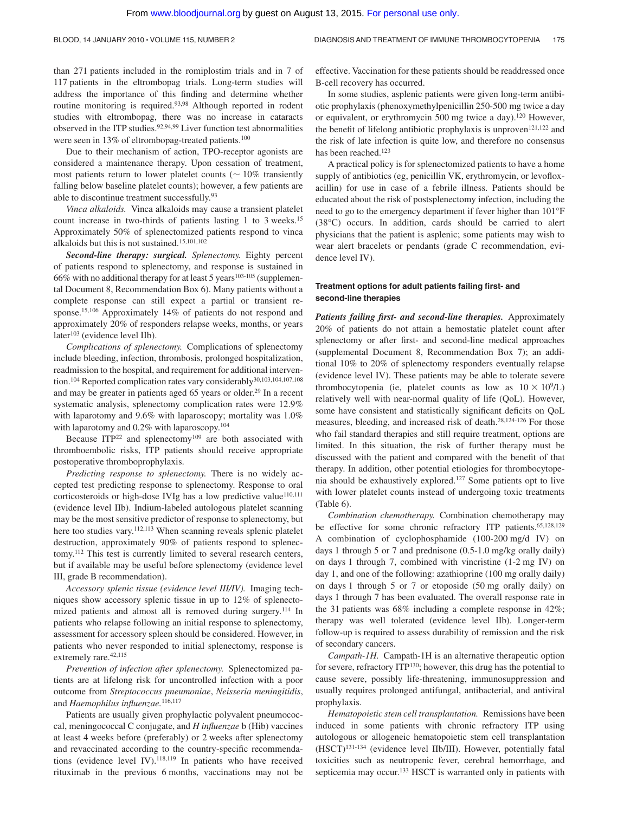than 271 patients included in the romiplostim trials and in 7 of 117 patients in the eltrombopag trials. Long-term studies will address the importance of this finding and determine whether routine monitoring is required.93,98 Although reported in rodent studies with eltrombopag, there was no increase in cataracts observed in the ITP studies.92,94,99 Liver function test abnormalities were seen in 13% of eltrombopag-treated patients.<sup>100</sup>

Due to their mechanism of action, TPO-receptor agonists are considered a maintenance therapy. Upon cessation of treatment, most patients return to lower platelet counts ( $\sim 10\%$  transiently falling below baseline platelet counts); however, a few patients are able to discontinue treatment successfully.93

*Vinca alkaloids.* Vinca alkaloids may cause a transient platelet count increase in two-thirds of patients lasting 1 to 3 weeks.15 Approximately 50% of splenectomized patients respond to vinca alkaloids but this is not sustained.15,101,102

*Second-line therapy: surgical. Splenectomy.* Eighty percent of patients respond to splenectomy, and response is sustained in  $66\%$  with no additional therapy for at least 5 years<sup>103-105</sup> (supplemental Document 8, Recommendation Box 6). Many patients without a complete response can still expect a partial or transient response.15,106 Approximately 14% of patients do not respond and approximately 20% of responders relapse weeks, months, or years later<sup>103</sup> (evidence level IIb).

*Complications of splenectomy.* Complications of splenectomy include bleeding, infection, thrombosis, prolonged hospitalization, readmission to the hospital, and requirement for additional intervention.<sup>104</sup> Reported complication rates vary considerably<sup>30,103,104,107,108</sup> and may be greater in patients aged 65 years or older.29 In a recent systematic analysis, splenectomy complication rates were 12.9% with laparotomy and 9.6% with laparoscopy; mortality was 1.0% with laparotomy and 0.2% with laparoscopy.104

Because ITP<sup>22</sup> and splenectomy<sup>109</sup> are both associated with thromboembolic risks, ITP patients should receive appropriate postoperative thromboprophylaxis.

*Predicting response to splenectomy.* There is no widely accepted test predicting response to splenectomy. Response to oral corticosteroids or high-dose IVIg has a low predictive value $110,111$ (evidence level IIb). Indium-labeled autologous platelet scanning may be the most sensitive predictor of response to splenectomy, but here too studies vary.<sup>112,113</sup> When scanning reveals splenic platelet destruction, approximately 90% of patients respond to splenectomy.112 This test is currently limited to several research centers, but if available may be useful before splenectomy (evidence level III, grade B recommendation).

*Accessory splenic tissue (evidence level III/IV).* Imaging techniques show accessory splenic tissue in up to 12% of splenectomized patients and almost all is removed during surgery.<sup>114</sup> In patients who relapse following an initial response to splenectomy, assessment for accessory spleen should be considered. However, in patients who never responded to initial splenectomy, response is extremely rare.<sup>42,115</sup>

*Prevention of infection after splenectomy.* Splenectomized patients are at lifelong risk for uncontrolled infection with a poor outcome from *Streptococcus pneumoniae*, *Neisseria meningitidis*, and *Haemophilus influenzae.*116,117

Patients are usually given prophylactic polyvalent pneumococcal, meningococcal C conjugate, and *H influenzae* b (Hib) vaccines at least 4 weeks before (preferably) or 2 weeks after splenectomy and revaccinated according to the country-specific recommendations (evidence level IV).<sup>118,119</sup> In patients who have received rituximab in the previous 6 months, vaccinations may not be effective. Vaccination for these patients should be readdressed once B-cell recovery has occurred.

In some studies, asplenic patients were given long-term antibiotic prophylaxis (phenoxymethylpenicillin 250-500 mg twice a day or equivalent, or erythromycin 500 mg twice a day).120 However, the benefit of lifelong antibiotic prophylaxis is unproven<sup>121,122</sup> and the risk of late infection is quite low, and therefore no consensus has been reached.123

A practical policy is for splenectomized patients to have a home supply of antibiotics (eg, penicillin VK, erythromycin, or levofloxacillin) for use in case of a febrile illness. Patients should be educated about the risk of postsplenectomy infection, including the need to go to the emergency department if fever higher than 101°F (38°C) occurs. In addition, cards should be carried to alert physicians that the patient is asplenic; some patients may wish to wear alert bracelets or pendants (grade C recommendation, evidence level IV).

### **Treatment options for adult patients failing first- and second-line therapies**

*Patients failing first- and second-line therapies.* Approximately 20% of patients do not attain a hemostatic platelet count after splenectomy or after first- and second-line medical approaches (supplemental Document 8, Recommendation Box 7); an additional 10% to 20% of splenectomy responders eventually relapse (evidence level IV). These patients may be able to tolerate severe thrombocytopenia (ie, platelet counts as low as  $10 \times 10^9$ /L) relatively well with near-normal quality of life (QoL). However, some have consistent and statistically significant deficits on QoL measures, bleeding, and increased risk of death.28,124-126 For those who fail standard therapies and still require treatment, options are limited. In this situation, the risk of further therapy must be discussed with the patient and compared with the benefit of that therapy. In addition, other potential etiologies for thrombocytopenia should be exhaustively explored.127 Some patients opt to live with lower platelet counts instead of undergoing toxic treatments (Table 6).

*Combination chemotherapy.* Combination chemotherapy may be effective for some chronic refractory ITP patients.65,128,129 A combination of cyclophosphamide (100-200 mg/d IV) on days 1 through 5 or 7 and prednisone (0.5-1.0 mg/kg orally daily) on days 1 through 7, combined with vincristine (1-2 mg IV) on day 1, and one of the following: azathioprine (100 mg orally daily) on days 1 through 5 or 7 or etoposide (50 mg orally daily) on days 1 through 7 has been evaluated. The overall response rate in the 31 patients was 68% including a complete response in 42%; therapy was well tolerated (evidence level IIb). Longer-term follow-up is required to assess durability of remission and the risk of secondary cancers.

*Campath-1H.* Campath-1H is an alternative therapeutic option for severe, refractory ITP130; however, this drug has the potential to cause severe, possibly life-threatening, immunosuppression and usually requires prolonged antifungal, antibacterial, and antiviral prophylaxis.

*Hematopoietic stem cell transplantation.* Remissions have been induced in some patients with chronic refractory ITP using autologous or allogeneic hematopoietic stem cell transplantation (HSCT)131-134 (evidence level IIb/III). However, potentially fatal toxicities such as neutropenic fever, cerebral hemorrhage, and septicemia may occur.<sup>133</sup> HSCT is warranted only in patients with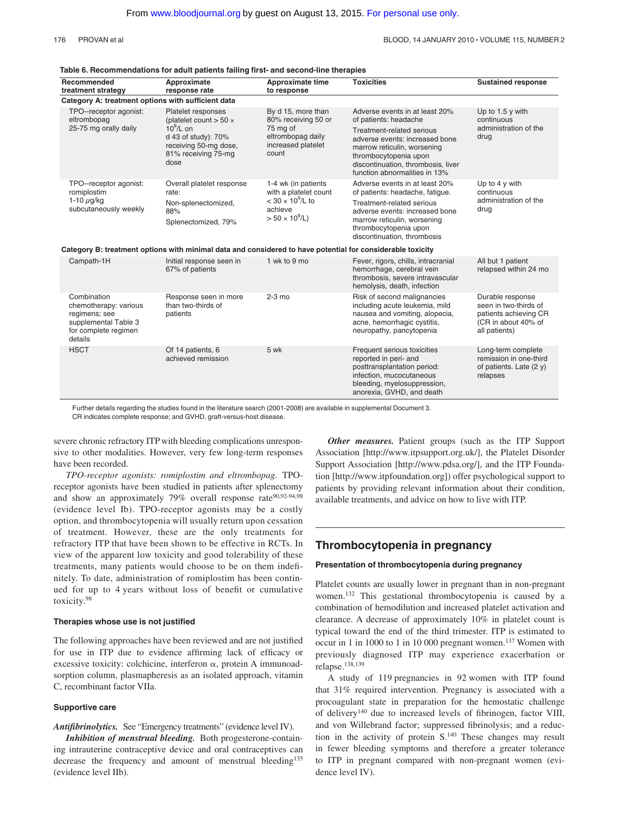#### 176 PROVAN et al BLOOD, 14 JANUARY 2010 • VOLUME 115, NUMBER 2

| Recommended<br>treatment strategy                                                                                | Approximate<br>response rate                                                                               | <b>Approximate time</b><br>to response                                       | <b>Toxicities</b>                                                                                                                                                                          | <b>Sustained response</b>                                                                                  |
|------------------------------------------------------------------------------------------------------------------|------------------------------------------------------------------------------------------------------------|------------------------------------------------------------------------------|--------------------------------------------------------------------------------------------------------------------------------------------------------------------------------------------|------------------------------------------------------------------------------------------------------------|
| Category A: treatment options with sufficient data                                                               |                                                                                                            |                                                                              |                                                                                                                                                                                            |                                                                                                            |
| TPO--receptor agonist:<br>eltrombopag                                                                            | Platelet responses<br>(platelet count $>$ 50 $\times$                                                      | By d 15, more than<br>80% receiving 50 or                                    | Adverse events in at least 20%<br>of patients: headache                                                                                                                                    | Up to $1.5$ y with<br>continuous                                                                           |
| 25-75 mg orally daily                                                                                            | $10^9$ /L on<br>d 43 of study): 70%<br>receiving 50-mg dose,<br>81% receiving 75-mg<br>dose                | 75 mg of<br>eltrombopag daily<br>increased platelet<br>count                 | Treatment-related serious<br>adverse events: increased bone<br>marrow reticulin, worsening<br>thrombocytopenia upon<br>discontinuation, thrombosis, liver<br>function abnormalities in 13% | administration of the<br>drug                                                                              |
| TPO--receptor agonist:<br>romiplostim                                                                            | Overall platelet response<br>rate:                                                                         | 1-4 wk (in patients<br>with a platelet count                                 | Adverse events in at least 20%<br>of patients: headache, fatique.                                                                                                                          | Up to $4 \vee$ with<br>continuous<br>administration of the<br>drug                                         |
| 1-10 $\mu$ g/kg<br>subcutaneously weekly                                                                         | Non-splenectomized,<br>88%<br>Splenectomized, 79%                                                          | $<$ 30 $\times$ 10 <sup>9</sup> /L to<br>achieve<br>$> 50 \times 10^{9}$ /L) | Treatment-related serious<br>adverse events: increased bone<br>marrow reticulin, worsening<br>thrombocytopenia upon<br>discontinuation, thrombosis                                         |                                                                                                            |
|                                                                                                                  | Category B: treatment options with minimal data and considered to have potential for considerable toxicity |                                                                              |                                                                                                                                                                                            |                                                                                                            |
| Campath-1H                                                                                                       | Initial response seen in<br>67% of patients                                                                | 1 wk to 9 mo                                                                 | Fever, rigors, chills, intracranial<br>hemorrhage, cerebral vein<br>thrombosis, severe intravascular<br>hemolysis, death, infection                                                        | All but 1 patient<br>relapsed within 24 mo                                                                 |
| Combination<br>chemotherapy: various<br>regimens; see<br>supplemental Table 3<br>for complete regimen<br>details | Response seen in more<br>than two-thirds of<br>patients                                                    | $2-3$ mo                                                                     | Risk of second malignancies<br>including acute leukemia, mild<br>nausea and vomiting, alopecia,<br>acne, hemorrhagic cystitis,<br>neuropathy, pancytopenia                                 | Durable response<br>seen in two-thirds of<br>patients achieving CR<br>(CR in about 40% of<br>all patients) |
| <b>HSCT</b>                                                                                                      | Of 14 patients, 6<br>achieved remission                                                                    | 5 wk                                                                         | Frequent serious toxicities<br>reported in peri- and<br>posttransplantation period:<br>infection, mucocutaneous<br>bleeding, myelosuppression,<br>anorexia, GVHD, and death                | Long-term complete<br>remission in one-third<br>of patients. Late (2 y)<br>relapses                        |

**Table 6. Recommendations for adult patients failing first- and second-line therapies**

Further details regarding the studies found in the literature search (2001-2008) are available in supplemental Document 3. CR indicates complete response; and GVHD, graft-versus-host disease.

severe chronic refractory ITP with bleeding complications unresponsive to other modalities. However, very few long-term responses have been recorded.

*TPO-receptor agonists: romiplostim and eltrombopag.* TPOreceptor agonists have been studied in patients after splenectomy and show an approximately  $79\%$  overall response rate  $90,92-94,98$ (evidence level Ib). TPO-receptor agonists may be a costly option, and thrombocytopenia will usually return upon cessation of treatment. However, these are the only treatments for refractory ITP that have been shown to be effective in RCTs. In view of the apparent low toxicity and good tolerability of these treatments, many patients would choose to be on them indefinitely. To date, administration of romiplostim has been continued for up to 4 years without loss of benefit or cumulative toxicity.98

#### **Therapies whose use is not justified**

The following approaches have been reviewed and are not justified for use in ITP due to evidence affirming lack of efficacy or excessive toxicity: colchicine, interferon  $\alpha$ , protein A immunoadsorption column, plasmapheresis as an isolated approach, vitamin C, recombinant factor VIIa.

#### **Supportive care**

## *Antifibrinolytics.* See "Emergency treatments" (evidence level IV).

*Inhibition of menstrual bleeding.* Both progesterone-containing intrauterine contraceptive device and oral contraceptives can decrease the frequency and amount of menstrual bleeding<sup>135</sup> (evidence level IIb).

*Other measures.* Patient groups (such as the ITP Support Association [http://www.itpsupport.org.uk/], the Platelet Disorder Support Association [http://www.pdsa.org/], and the ITP Foundation [http://www.itpfoundation.org]) offer psychological support to patients by providing relevant information about their condition, available treatments, and advice on how to live with ITP.

## **Thrombocytopenia in pregnancy**

#### **Presentation of thrombocytopenia during pregnancy**

Platelet counts are usually lower in pregnant than in non-pregnant women.132 This gestational thrombocytopenia is caused by a combination of hemodilution and increased platelet activation and clearance. A decrease of approximately 10% in platelet count is typical toward the end of the third trimester. ITP is estimated to occur in 1 in 1000 to 1 in 10 000 pregnant women.137 Women with previously diagnosed ITP may experience exacerbation or relapse.138,139

A study of 119 pregnancies in 92 women with ITP found that 31% required intervention. Pregnancy is associated with a procoagulant state in preparation for the hemostatic challenge of delivery140 due to increased levels of fibrinogen, factor VIII, and von Willebrand factor; suppressed fibrinolysis; and a reduction in the activity of protein S.140 These changes may result in fewer bleeding symptoms and therefore a greater tolerance to ITP in pregnant compared with non-pregnant women (evidence level IV).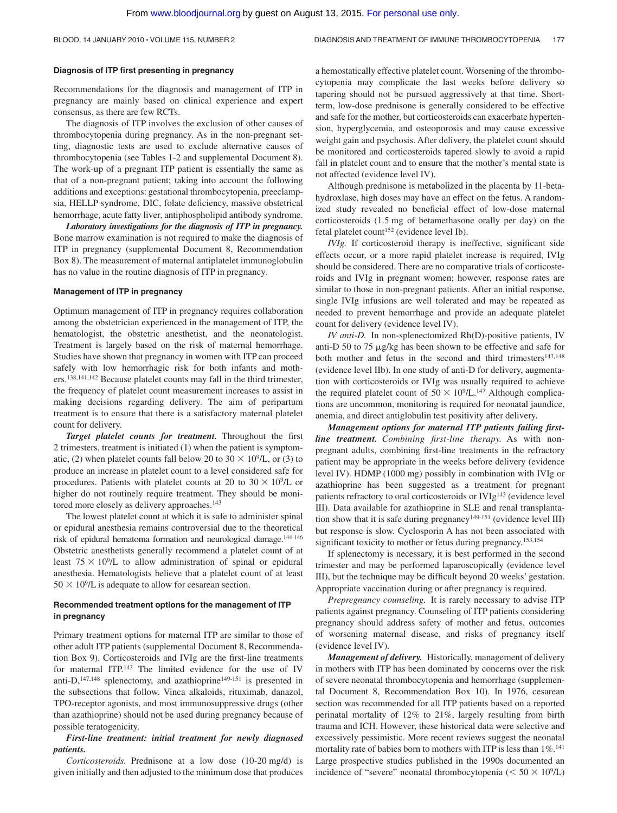#### **Diagnosis of ITP first presenting in pregnancy**

Recommendations for the diagnosis and management of ITP in pregnancy are mainly based on clinical experience and expert consensus, as there are few RCTs.

The diagnosis of ITP involves the exclusion of other causes of thrombocytopenia during pregnancy. As in the non-pregnant setting, diagnostic tests are used to exclude alternative causes of thrombocytopenia (see Tables 1-2 and supplemental Document 8). The work-up of a pregnant ITP patient is essentially the same as that of a non-pregnant patient; taking into account the following additions and exceptions: gestational thrombocytopenia, preeclampsia, HELLP syndrome, DIC, folate deficiency, massive obstetrical hemorrhage, acute fatty liver, antiphospholipid antibody syndrome.

*Laboratory investigations for the diagnosis of ITP in pregnancy.* Bone marrow examination is not required to make the diagnosis of ITP in pregnancy (supplemental Document 8, Recommendation Box 8). The measurement of maternal antiplatelet immunoglobulin has no value in the routine diagnosis of ITP in pregnancy.

### **Management of ITP in pregnancy**

Optimum management of ITP in pregnancy requires collaboration among the obstetrician experienced in the management of ITP, the hematologist, the obstetric anesthetist, and the neonatologist. Treatment is largely based on the risk of maternal hemorrhage. Studies have shown that pregnancy in women with ITP can proceed safely with low hemorrhagic risk for both infants and mothers.138,141,142 Because platelet counts may fall in the third trimester, the frequency of platelet count measurement increases to assist in making decisions regarding delivery. The aim of peripartum treatment is to ensure that there is a satisfactory maternal platelet count for delivery.

*Target platelet counts for treatment.* Throughout the first 2 trimesters, treatment is initiated (1) when the patient is symptomatic, (2) when platelet counts fall below 20 to 30  $\times$  10<sup>9</sup>/L, or (3) to produce an increase in platelet count to a level considered safe for procedures. Patients with platelet counts at 20 to  $30 \times 10^9$ /L or higher do not routinely require treatment. They should be monitored more closely as delivery approaches.<sup>143</sup>

The lowest platelet count at which it is safe to administer spinal or epidural anesthesia remains controversial due to the theoretical risk of epidural hematoma formation and neurological damage.144-146 Obstetric anesthetists generally recommend a platelet count of at least  $75 \times 10^9$ /L to allow administration of spinal or epidural anesthesia. Hematologists believe that a platelet count of at least  $50 \times 10^9$ /L is adequate to allow for cesarean section.

## **Recommended treatment options for the management of ITP in pregnancy**

Primary treatment options for maternal ITP are similar to those of other adult ITP patients (supplemental Document 8, Recommendation Box 9). Corticosteroids and IVIg are the first-line treatments for maternal ITP.143 The limited evidence for the use of IV anti-D, $^{147,148}$  splenectomy, and azathioprine<sup>149-151</sup> is presented in the subsections that follow. Vinca alkaloids, rituximab, danazol, TPO-receptor agonists, and most immunosuppressive drugs (other than azathioprine) should not be used during pregnancy because of possible teratogenicity.

*First-line treatment: initial treatment for newly diagnosed patients.*

*Corticosteroids.* Prednisone at a low dose (10-20 mg/d) is given initially and then adjusted to the minimum dose that produces a hemostatically effective platelet count. Worsening of the thrombocytopenia may complicate the last weeks before delivery so tapering should not be pursued aggressively at that time. Shortterm, low-dose prednisone is generally considered to be effective and safe for the mother, but corticosteroids can exacerbate hypertension, hyperglycemia, and osteoporosis and may cause excessive weight gain and psychosis. After delivery, the platelet count should be monitored and corticosteroids tapered slowly to avoid a rapid fall in platelet count and to ensure that the mother's mental state is not affected (evidence level IV).

Although prednisone is metabolized in the placenta by 11-betahydroxlase, high doses may have an effect on the fetus. A randomized study revealed no beneficial effect of low-dose maternal corticosteroids (1.5 mg of betamethasone orally per day) on the fetal platelet count<sup>152</sup> (evidence level Ib).

*IVIg.* If corticosteroid therapy is ineffective, significant side effects occur, or a more rapid platelet increase is required, IVIg should be considered. There are no comparative trials of corticosteroids and IVIg in pregnant women; however, response rates are similar to those in non-pregnant patients. After an initial response, single IVIg infusions are well tolerated and may be repeated as needed to prevent hemorrhage and provide an adequate platelet count for delivery (evidence level IV).

*IV anti-D.* In non-splenectomized Rh(D)-positive patients, IV anti-D 50 to 75  $\mu$ g/kg has been shown to be effective and safe for both mother and fetus in the second and third trimesters<sup>147,148</sup> (evidence level IIb). In one study of anti-D for delivery, augmentation with corticosteroids or IVIg was usually required to achieve the required platelet count of  $50 \times 10^9$ /L.<sup>147</sup> Although complications are uncommon, monitoring is required for neonatal jaundice, anemia, and direct antiglobulin test positivity after delivery.

*Management options for maternal ITP patients failing firstline treatment. Combining first-line therapy.* As with nonpregnant adults, combining first-line treatments in the refractory patient may be appropriate in the weeks before delivery (evidence level IV). HDMP (1000 mg) possibly in combination with IVIg or azathioprine has been suggested as a treatment for pregnant patients refractory to oral corticosteroids or IVIg143 (evidence level III). Data available for azathioprine in SLE and renal transplantation show that it is safe during pregnancy<sup>149-151</sup> (evidence level III) but response is slow. Cyclosporin A has not been associated with significant toxicity to mother or fetus during pregnancy.<sup>153,154</sup>

If splenectomy is necessary, it is best performed in the second trimester and may be performed laparoscopically (evidence level III), but the technique may be difficult beyond 20 weeks' gestation. Appropriate vaccination during or after pregnancy is required.

*Prepregnancy counseling.* It is rarely necessary to advise ITP patients against pregnancy. Counseling of ITP patients considering pregnancy should address safety of mother and fetus, outcomes of worsening maternal disease, and risks of pregnancy itself (evidence level IV).

*Management of delivery.* Historically, management of delivery in mothers with ITP has been dominated by concerns over the risk of severe neonatal thrombocytopenia and hemorrhage (supplemental Document 8, Recommendation Box 10). In 1976, cesarean section was recommended for all ITP patients based on a reported perinatal mortality of 12% to 21%, largely resulting from birth trauma and ICH. However, these historical data were selective and excessively pessimistic. More recent reviews suggest the neonatal mortality rate of babies born to mothers with ITP is less than  $1\%$ .<sup>141</sup> Large prospective studies published in the 1990s documented an incidence of "severe" neonatal thrombocytopenia ( $\leq 50 \times 10^9$ /L)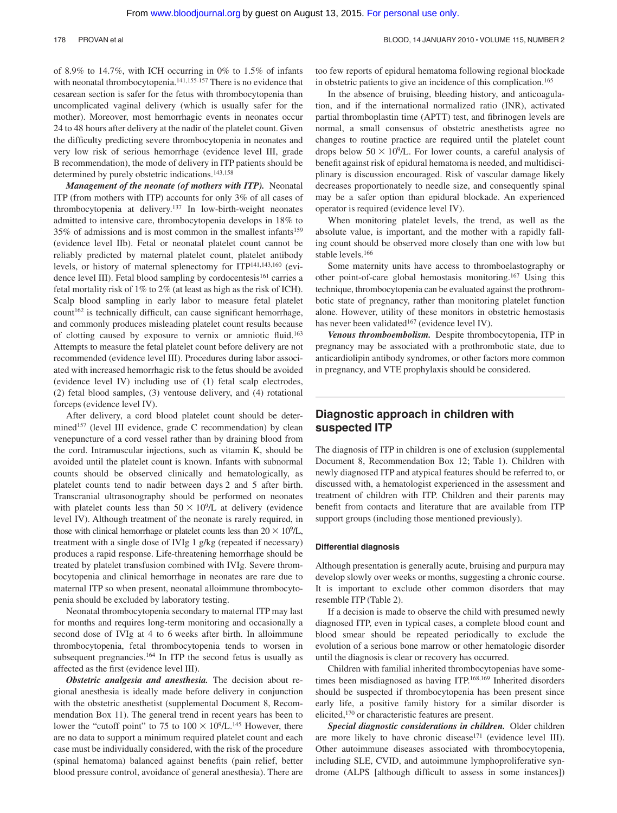of 8.9% to 14.7%, with ICH occurring in 0% to 1.5% of infants with neonatal thrombocytopenia.<sup>141,155-157</sup> There is no evidence that cesarean section is safer for the fetus with thrombocytopenia than uncomplicated vaginal delivery (which is usually safer for the mother). Moreover, most hemorrhagic events in neonates occur 24 to 48 hours after delivery at the nadir of the platelet count. Given the difficulty predicting severe thrombocytopenia in neonates and very low risk of serious hemorrhage (evidence level III, grade B recommendation), the mode of delivery in ITP patients should be determined by purely obstetric indications.<sup>143,158</sup>

*Management of the neonate (of mothers with ITP).* Neonatal ITP (from mothers with ITP) accounts for only 3% of all cases of thrombocytopenia at delivery.137 In low-birth-weight neonates admitted to intensive care, thrombocytopenia develops in 18% to  $35\%$  of admissions and is most common in the smallest infants<sup>159</sup> (evidence level IIb). Fetal or neonatal platelet count cannot be reliably predicted by maternal platelet count, platelet antibody levels, or history of maternal splenectomy for ITP141,143,160 (evidence level III). Fetal blood sampling by cordocentesis<sup>161</sup> carries a fetal mortality risk of 1% to 2% (at least as high as the risk of ICH). Scalp blood sampling in early labor to measure fetal platelet count<sup>162</sup> is technically difficult, can cause significant hemorrhage, and commonly produces misleading platelet count results because of clotting caused by exposure to vernix or amniotic fluid.163 Attempts to measure the fetal platelet count before delivery are not recommended (evidence level III). Procedures during labor associated with increased hemorrhagic risk to the fetus should be avoided (evidence level IV) including use of (1) fetal scalp electrodes, (2) fetal blood samples, (3) ventouse delivery, and (4) rotational forceps (evidence level IV).

After delivery, a cord blood platelet count should be determined<sup>157</sup> (level III evidence, grade C recommendation) by clean venepuncture of a cord vessel rather than by draining blood from the cord. Intramuscular injections, such as vitamin K, should be avoided until the platelet count is known. Infants with subnormal counts should be observed clinically and hematologically, as platelet counts tend to nadir between days 2 and 5 after birth. Transcranial ultrasonography should be performed on neonates with platelet counts less than  $50 \times 10^9$ /L at delivery (evidence level IV). Although treatment of the neonate is rarely required, in those with clinical hemorrhage or platelet counts less than  $20 \times 10^9$ /L, treatment with a single dose of IVIg 1 g/kg (repeated if necessary) produces a rapid response. Life-threatening hemorrhage should be treated by platelet transfusion combined with IVIg. Severe thrombocytopenia and clinical hemorrhage in neonates are rare due to maternal ITP so when present, neonatal alloimmune thrombocytopenia should be excluded by laboratory testing.

Neonatal thrombocytopenia secondary to maternal ITP may last for months and requires long-term monitoring and occasionally a second dose of IVIg at 4 to 6 weeks after birth. In alloimmune thrombocytopenia, fetal thrombocytopenia tends to worsen in subsequent pregnancies.<sup>164</sup> In ITP the second fetus is usually as affected as the first (evidence level III).

*Obstetric analgesia and anesthesia.* The decision about regional anesthesia is ideally made before delivery in conjunction with the obstetric anesthetist (supplemental Document 8, Recommendation Box 11). The general trend in recent years has been to lower the "cutoff point" to 75 to  $100 \times 10^9$ /L.<sup>145</sup> However, there are no data to support a minimum required platelet count and each case must be individually considered, with the risk of the procedure (spinal hematoma) balanced against benefits (pain relief, better blood pressure control, avoidance of general anesthesia). There are too few reports of epidural hematoma following regional blockade in obstetric patients to give an incidence of this complication.<sup>165</sup>

In the absence of bruising, bleeding history, and anticoagulation, and if the international normalized ratio (INR), activated partial thromboplastin time (APTT) test, and fibrinogen levels are normal, a small consensus of obstetric anesthetists agree no changes to routine practice are required until the platelet count drops below  $50 \times 10^9$ /L. For lower counts, a careful analysis of benefit against risk of epidural hematoma is needed, and multidisciplinary is discussion encouraged. Risk of vascular damage likely decreases proportionately to needle size, and consequently spinal may be a safer option than epidural blockade. An experienced operator is required (evidence level IV).

When monitoring platelet levels, the trend, as well as the absolute value, is important, and the mother with a rapidly falling count should be observed more closely than one with low but stable levels.166

Some maternity units have access to thromboelastography or other point-of-care global hemostasis monitoring.167 Using this technique, thrombocytopenia can be evaluated against the prothrombotic state of pregnancy, rather than monitoring platelet function alone. However, utility of these monitors in obstetric hemostasis has never been validated<sup>167</sup> (evidence level IV).

*Venous thromboembolism.* Despite thrombocytopenia, ITP in pregnancy may be associated with a prothrombotic state, due to anticardiolipin antibody syndromes, or other factors more common in pregnancy, and VTE prophylaxis should be considered.

## **Diagnostic approach in children with suspected ITP**

The diagnosis of ITP in children is one of exclusion (supplemental Document 8, Recommendation Box 12; Table 1). Children with newly diagnosed ITP and atypical features should be referred to, or discussed with, a hematologist experienced in the assessment and treatment of children with ITP. Children and their parents may benefit from contacts and literature that are available from ITP support groups (including those mentioned previously).

#### **Differential diagnosis**

Although presentation is generally acute, bruising and purpura may develop slowly over weeks or months, suggesting a chronic course. It is important to exclude other common disorders that may resemble ITP (Table 2).

If a decision is made to observe the child with presumed newly diagnosed ITP, even in typical cases, a complete blood count and blood smear should be repeated periodically to exclude the evolution of a serious bone marrow or other hematologic disorder until the diagnosis is clear or recovery has occurred.

Children with familial inherited thrombocytopenias have sometimes been misdiagnosed as having ITP.168,169 Inherited disorders should be suspected if thrombocytopenia has been present since early life, a positive family history for a similar disorder is elicited,170 or characteristic features are present.

*Special diagnostic considerations in children.* Older children are more likely to have chronic disease<sup>171</sup> (evidence level III). Other autoimmune diseases associated with thrombocytopenia, including SLE, CVID, and autoimmune lymphoproliferative syndrome (ALPS [although difficult to assess in some instances])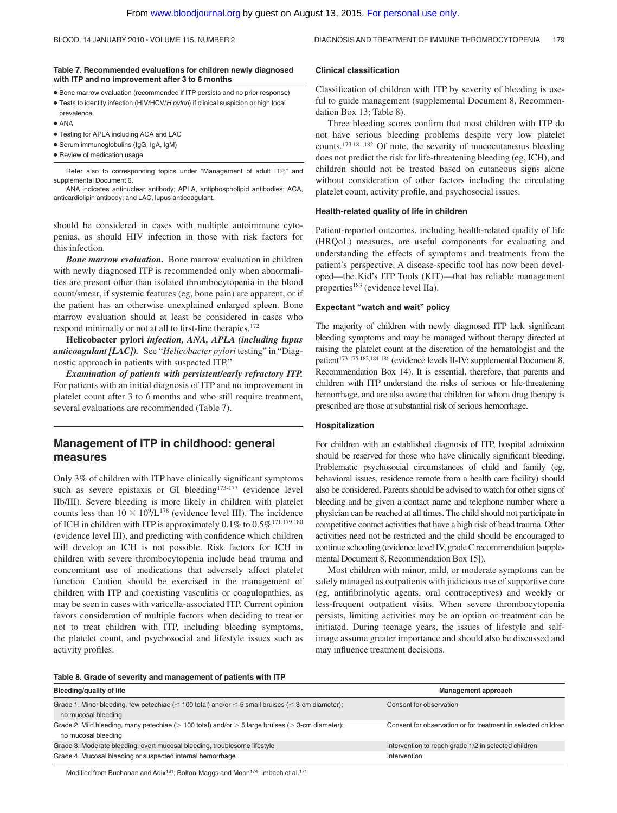#### **Table 7. Recommended evaluations for children newly diagnosed with ITP and no improvement after 3 to 6 months**

- Bone marrow evaluation (recommended if ITP persists and no prior response) ● Tests to identify infection (HIV/HCV/*H pylori*) if clinical suspicion or high local
- prevalence  $\bullet$  ANA
- 
- Testing for APLA including ACA and LAC
- Serum immunoglobulins (IgG, IgA, IgM)
- Review of medication usage

Refer also to corresponding topics under "Management of adult ITP," and supplemental Document 6.

ANA indicates antinuclear antibody; APLA, antiphospholipid antibodies; ACA, anticardiolipin antibody; and LAC, lupus anticoagulant.

should be considered in cases with multiple autoimmune cytopenias, as should HIV infection in those with risk factors for this infection.

*Bone marrow evaluation.* Bone marrow evaluation in children with newly diagnosed ITP is recommended only when abnormalities are present other than isolated thrombocytopenia in the blood count/smear, if systemic features (eg, bone pain) are apparent, or if the patient has an otherwise unexplained enlarged spleen. Bone marrow evaluation should at least be considered in cases who respond minimally or not at all to first-line therapies.<sup>172</sup>

**Helicobacter pylori** *infection, ANA, APLA (including lupus anticoagulant [LAC]).* See "*Helicobacter pylori* testing" in "Diagnostic approach in patients with suspected ITP."

*Examination of patients with persistent/early refractory ITP.* For patients with an initial diagnosis of ITP and no improvement in platelet count after 3 to 6 months and who still require treatment, several evaluations are recommended (Table 7).

## **Management of ITP in childhood: general measures**

Only 3% of children with ITP have clinically significant symptoms such as severe epistaxis or GI bleeding $173-177$  (evidence level IIb/III). Severe bleeding is more likely in children with platelet counts less than  $10 \times 10^9/L^{178}$  (evidence level III). The incidence of ICH in children with ITP is approximately 0.1% to  $0.5\%$ <sup>171,179,180</sup> (evidence level III), and predicting with confidence which children will develop an ICH is not possible. Risk factors for ICH in children with severe thrombocytopenia include head trauma and concomitant use of medications that adversely affect platelet function. Caution should be exercised in the management of children with ITP and coexisting vasculitis or coagulopathies, as may be seen in cases with varicella-associated ITP. Current opinion favors consideration of multiple factors when deciding to treat or not to treat children with ITP, including bleeding symptoms, the platelet count, and psychosocial and lifestyle issues such as activity profiles.

#### **Clinical classification**

Classification of children with ITP by severity of bleeding is useful to guide management (supplemental Document 8, Recommendation Box 13; Table 8).

Three bleeding scores confirm that most children with ITP do not have serious bleeding problems despite very low platelet counts.173,181,182 Of note, the severity of mucocutaneous bleeding does not predict the risk for life-threatening bleeding (eg, ICH), and children should not be treated based on cutaneous signs alone without consideration of other factors including the circulating platelet count, activity profile, and psychosocial issues.

#### **Health-related quality of life in children**

Patient-reported outcomes, including health-related quality of life (HRQoL) measures, are useful components for evaluating and understanding the effects of symptoms and treatments from the patient's perspective. A disease-specific tool has now been developed—the Kid's ITP Tools (KIT)—that has reliable management properties<sup>183</sup> (evidence level IIa).

#### **Expectant "watch and wait" policy**

The majority of children with newly diagnosed ITP lack significant bleeding symptoms and may be managed without therapy directed at raising the platelet count at the discretion of the hematologist and the patient<sup>173-175,182,184-186</sup> (evidence levels II-IV; supplemental Document 8, Recommendation Box 14). It is essential, therefore, that parents and children with ITP understand the risks of serious or life-threatening hemorrhage, and are also aware that children for whom drug therapy is prescribed are those at substantial risk of serious hemorrhage.

#### **Hospitalization**

For children with an established diagnosis of ITP, hospital admission should be reserved for those who have clinically significant bleeding. Problematic psychosocial circumstances of child and family (eg, behavioral issues, residence remote from a health care facility) should also be considered. Parents should be advised to watch for other signs of bleeding and be given a contact name and telephone number where a physician can be reached at all times. The child should not participate in competitive contact activities that have a high risk of head trauma. Other activities need not be restricted and the child should be encouraged to continue schooling (evidence level IV, grade C recommendation [supplemental Document 8, Recommendation Box 15]).

Most children with minor, mild, or moderate symptoms can be safely managed as outpatients with judicious use of supportive care (eg, antifibrinolytic agents, oral contraceptives) and weekly or less-frequent outpatient visits. When severe thrombocytopenia persists, limiting activities may be an option or treatment can be initiated. During teenage years, the issues of lifestyle and selfimage assume greater importance and should also be discussed and may influence treatment decisions.

**Table 8. Grade of severity and management of patients with ITP**

| Bleeding/quality of life                                                                                                                 | Management approach                                           |
|------------------------------------------------------------------------------------------------------------------------------------------|---------------------------------------------------------------|
| Grade 1. Minor bleeding, few petechiae ( $\leq$ 100 total) and/or $\leq$ 5 small bruises ( $\leq$ 3-cm diameter);<br>no mucosal bleeding | Consent for observation                                       |
| Grade 2. Mild bleeding, many petechiae ( $> 100$ total) and/or $> 5$ large bruises ( $> 3$ -cm diameter);<br>no mucosal bleeding         | Consent for observation or for treatment in selected children |
| Grade 3. Moderate bleeding, overt mucosal bleeding, troublesome lifestyle                                                                | Intervention to reach grade 1/2 in selected children          |
| Grade 4. Mucosal bleeding or suspected internal hemorrhage                                                                               | Intervention                                                  |

Modified from Buchanan and Adix<sup>181</sup>; Bolton-Maggs and Moon<sup>174</sup>; Imbach et al.<sup>171</sup>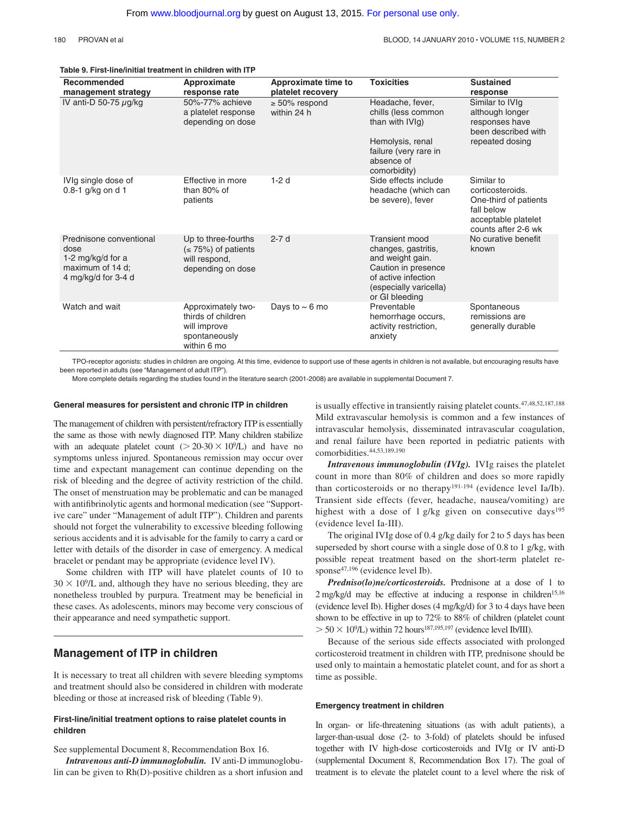180 PROVAN et al **BLOOD, 14 JANUARY 2010 • VOLUME 115, NUMBER 2** 

| <b>Recommended</b><br>management strategy                                                       | Approximate<br>response rate                                                             | Approximate time to<br>platelet recovery | <b>Toxicities</b>                                                                                                                                          | <b>Sustained</b><br>response                                                                                        |
|-------------------------------------------------------------------------------------------------|------------------------------------------------------------------------------------------|------------------------------------------|------------------------------------------------------------------------------------------------------------------------------------------------------------|---------------------------------------------------------------------------------------------------------------------|
| IV anti-D 50-75 $\mu$ g/kg                                                                      | 50%-77% achieve<br>a platelet response<br>depending on dose                              | $\geq 50\%$ respond<br>within 24 h       | Headache, fever,<br>chills (less common<br>than with IVIg)<br>Hemolysis, renal<br>failure (very rare in<br>absence of<br>comorbidity)                      | Similar to IVIg<br>although longer<br>responses have<br>been described with<br>repeated dosing                      |
| IVIg single dose of<br>$0.8 - 1$ g/kg on d 1                                                    | Effective in more<br>than $80\%$ of<br>patients                                          | $1-2d$                                   | Side effects include<br>headache (which can<br>be severe), fever                                                                                           | Similar to<br>corticosteroids.<br>One-third of patients<br>fall below<br>acceptable platelet<br>counts after 2-6 wk |
| Prednisone conventional<br>dose<br>1-2 mg/kg/d for a<br>maximum of 14 d;<br>4 mg/kg/d for 3-4 d | Up to three-fourths<br>$(\leq 75%) of patients$<br>will respond,<br>depending on dose    | $2-7d$                                   | <b>Transient mood</b><br>changes, gastritis,<br>and weight gain.<br>Caution in presence<br>of active infection<br>(especially varicella)<br>or GI bleeding | No curative benefit<br>known                                                                                        |
| Watch and wait                                                                                  | Approximately two-<br>thirds of children<br>will improve<br>spontaneously<br>within 6 mo | Days to $\sim$ 6 mo                      | Preventable<br>hemorrhage occurs,<br>activity restriction,<br>anxiety                                                                                      | Spontaneous<br>remissions are<br>generally durable                                                                  |

#### **Table 9. First-line/initial treatment in children with ITP**

TPO-receptor agonists: studies in children are ongoing. At this time, evidence to support use of these agents in children is not available, but encouraging results have been reported in adults (see "Management of adult ITP").

More complete details regarding the studies found in the literature search (2001-2008) are available in supplemental Document 7.

#### **General measures for persistent and chronic ITP in children**

The management of children with persistent/refractory ITP is essentially the same as those with newly diagnosed ITP. Many children stabilize with an adequate platelet count ( $> 20-30 \times 10^{9}$ /L) and have no symptoms unless injured. Spontaneous remission may occur over time and expectant management can continue depending on the risk of bleeding and the degree of activity restriction of the child. The onset of menstruation may be problematic and can be managed with antifibrinolytic agents and hormonal medication (see "Supportive care" under "Management of adult ITP"). Children and parents should not forget the vulnerability to excessive bleeding following serious accidents and it is advisable for the family to carry a card or letter with details of the disorder in case of emergency. A medical bracelet or pendant may be appropriate (evidence level IV).

Some children with ITP will have platelet counts of 10 to  $30 \times 10^9$ /L and, although they have no serious bleeding, they are nonetheless troubled by purpura. Treatment may be beneficial in these cases. As adolescents, minors may become very conscious of their appearance and need sympathetic support.

## **Management of ITP in children**

It is necessary to treat all children with severe bleeding symptoms and treatment should also be considered in children with moderate bleeding or those at increased risk of bleeding (Table 9).

### **First-line/initial treatment options to raise platelet counts in children**

See supplemental Document 8, Recommendation Box 16.

*Intravenous anti-D immunoglobulin.* IV anti-D immunoglobulin can be given to Rh(D)-positive children as a short infusion and is usually effective in transiently raising platelet counts.47,48,52,187,188 Mild extravascular hemolysis is common and a few instances of intravascular hemolysis, disseminated intravascular coagulation, and renal failure have been reported in pediatric patients with comorbidities.44,53,189,190

*Intravenous immunoglobulin (IVIg).* IVIg raises the platelet count in more than 80% of children and does so more rapidly than corticosteroids or no therapy<sup>191-194</sup> (evidence level Ia/Ib). Transient side effects (fever, headache, nausea/vomiting) are highest with a dose of  $1$  g/kg given on consecutive days<sup>195</sup> (evidence level Ia-III).

The original IVIg dose of 0.4 g/kg daily for 2 to 5 days has been superseded by short course with a single dose of 0.8 to 1 g/kg, with possible repeat treatment based on the short-term platelet response<sup>47,196</sup> (evidence level Ib).

*Predniso(lo)ne/corticosteroids.* Prednisone at a dose of 1 to  $2$  mg/kg/d may be effective at inducing a response in children<sup>15,16</sup> (evidence level Ib). Higher doses (4 mg/kg/d) for 3 to 4 days have been shown to be effective in up to 72% to 88% of children (platelet count  $>$  50  $\times$  10<sup>9</sup>/L) within 72 hours<sup>187,195,197</sup> (evidence level Ib/III).

Because of the serious side effects associated with prolonged corticosteroid treatment in children with ITP, prednisone should be used only to maintain a hemostatic platelet count, and for as short a time as possible.

#### **Emergency treatment in children**

In organ- or life-threatening situations (as with adult patients), a larger-than-usual dose (2- to 3-fold) of platelets should be infused together with IV high-dose corticosteroids and IVIg or IV anti-D (supplemental Document 8, Recommendation Box 17). The goal of treatment is to elevate the platelet count to a level where the risk of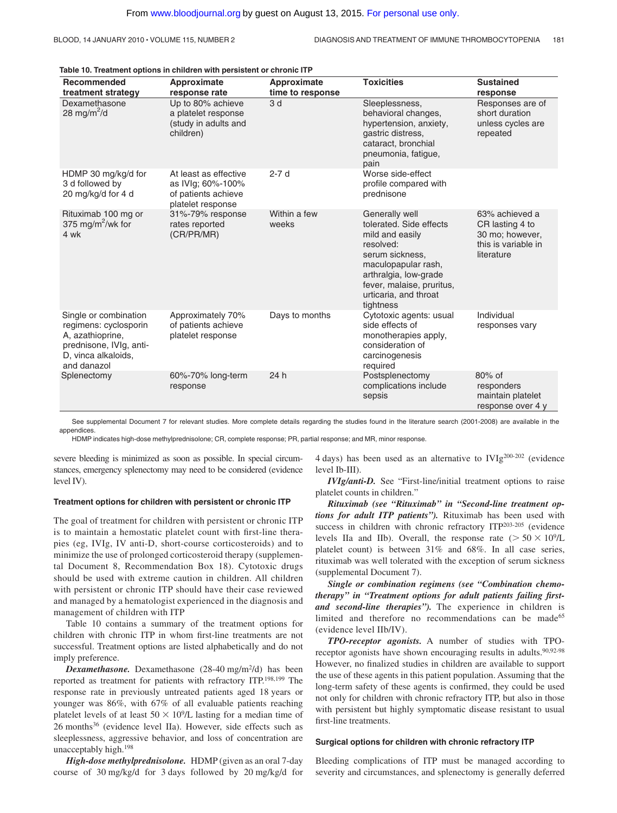BLOOD, 14 JANUARY 2010 · VOLUME 115, NUMBER 2 DIAGNOSIS AND TREATMENT OF IMMUNE THROMBOCYTOPENIA 181

| Recommended<br>treatment strategy                                                                                                   | Approximate<br>response rate                                                           | Approximate<br>time to response | <b>Toxicities</b>                                                                                                                                                                                               | <b>Sustained</b><br>response                                                              |
|-------------------------------------------------------------------------------------------------------------------------------------|----------------------------------------------------------------------------------------|---------------------------------|-----------------------------------------------------------------------------------------------------------------------------------------------------------------------------------------------------------------|-------------------------------------------------------------------------------------------|
| Dexamethasone<br>28 mg/m $^2$ /d                                                                                                    | Up to 80% achieve<br>a platelet response<br>(study in adults and<br>children)          | 3 d                             | Sleeplessness,<br>behavioral changes,<br>hypertension, anxiety,<br>gastric distress,<br>cataract, bronchial<br>pneumonia, fatigue,<br>pain                                                                      | Responses are of<br>short duration<br>unless cycles are<br>repeated                       |
| HDMP 30 mg/kg/d for<br>3 d followed by<br>20 mg/kg/d for 4 d                                                                        | At least as effective<br>as IVIg; 60%-100%<br>of patients achieve<br>platelet response | $2-7d$                          | Worse side-effect<br>profile compared with<br>prednisone                                                                                                                                                        |                                                                                           |
| Rituximab 100 mg or<br>375 mg/m <sup>2</sup> /wk for<br>4 wk                                                                        | 31%-79% response<br>rates reported<br>(CR/PR/MR)                                       | Within a few<br>weeks           | Generally well<br>tolerated. Side effects<br>mild and easily<br>resolved:<br>serum sickness.<br>maculopapular rash,<br>arthralgia, low-grade<br>fever, malaise, pruritus,<br>urticaria, and throat<br>tightness | 63% achieved a<br>CR lasting 4 to<br>30 mo; however,<br>this is variable in<br>literature |
| Single or combination<br>regimens: cyclosporin<br>A, azathioprine,<br>prednisone, IVIg, anti-<br>D, vinca alkaloids,<br>and danazol | Approximately 70%<br>of patients achieve<br>platelet response                          | Days to months                  | Cytotoxic agents: usual<br>side effects of<br>monotherapies apply,<br>consideration of<br>carcinogenesis<br>required                                                                                            | Individual<br>responses vary                                                              |
| Splenectomy                                                                                                                         | 60%-70% long-term<br>response                                                          | 24 h                            | Postsplenectomy<br>complications include<br>sepsis                                                                                                                                                              | 80% of<br>responders<br>maintain platelet<br>response over 4 y                            |

**Table 10. Treatment options in children with persistent or chronic ITP**

See supplemental Document 7 for relevant studies. More complete details regarding the studies found in the literature search (2001-2008) are available in the appendices.

HDMP indicates high-dose methylprednisolone; CR, complete response; PR, partial response; and MR, minor response.

severe bleeding is minimized as soon as possible. In special circumstances, emergency splenectomy may need to be considered (evidence level IV).

#### **Treatment options for children with persistent or chronic ITP**

The goal of treatment for children with persistent or chronic ITP is to maintain a hemostatic platelet count with first-line therapies (eg, IVIg, IV anti-D, short-course corticosteroids) and to minimize the use of prolonged corticosteroid therapy (supplemental Document 8, Recommendation Box 18). Cytotoxic drugs should be used with extreme caution in children. All children with persistent or chronic ITP should have their case reviewed and managed by a hematologist experienced in the diagnosis and management of children with ITP

Table 10 contains a summary of the treatment options for children with chronic ITP in whom first-line treatments are not successful. Treatment options are listed alphabetically and do not imply preference.

*Dexamethasone.* Dexamethasone (28-40 mg/m<sup>2</sup>/d) has been reported as treatment for patients with refractory ITP.198,199 The response rate in previously untreated patients aged 18 years or younger was 86%, with 67% of all evaluable patients reaching platelet levels of at least  $50 \times 10^9$ /L lasting for a median time of 26 months<sup>36</sup> (evidence level IIa). However, side effects such as sleeplessness, aggressive behavior, and loss of concentration are unacceptably high.198

*High-dose methylprednisolone.* HDMP (given as an oral 7-day course of 30 mg/kg/d for 3 days followed by 20 mg/kg/d for 4 days) has been used as an alternative to IVIg200-202 (evidence level Ib-III).

*IVIg/anti-D.* See "First-line/initial treatment options to raise platelet counts in children."

*Rituximab (see "Rituximab" in "Second-line treatment options for adult ITP patients").* Rituximab has been used with success in children with chronic refractory ITP203-205 (evidence levels IIa and IIb). Overall, the response rate  $(> 50 \times 10^9/L)$ platelet count) is between 31% and 68%. In all case series, rituximab was well tolerated with the exception of serum sickness (supplemental Document 7).

*Single or combination regimens (see "Combination chemotherapy" in "Treatment options for adult patients failing firstand second-line therapies").* The experience in children is limited and therefore no recommendations can be made<sup>65</sup> (evidence level IIb/IV).

*TPO-receptor agonists.* A number of studies with TPOreceptor agonists have shown encouraging results in adults.<sup>90,92-98</sup> However, no finalized studies in children are available to support the use of these agents in this patient population. Assuming that the long-term safety of these agents is confirmed, they could be used not only for children with chronic refractory ITP, but also in those with persistent but highly symptomatic disease resistant to usual first-line treatments.

#### **Surgical options for children with chronic refractory ITP**

Bleeding complications of ITP must be managed according to severity and circumstances, and splenectomy is generally deferred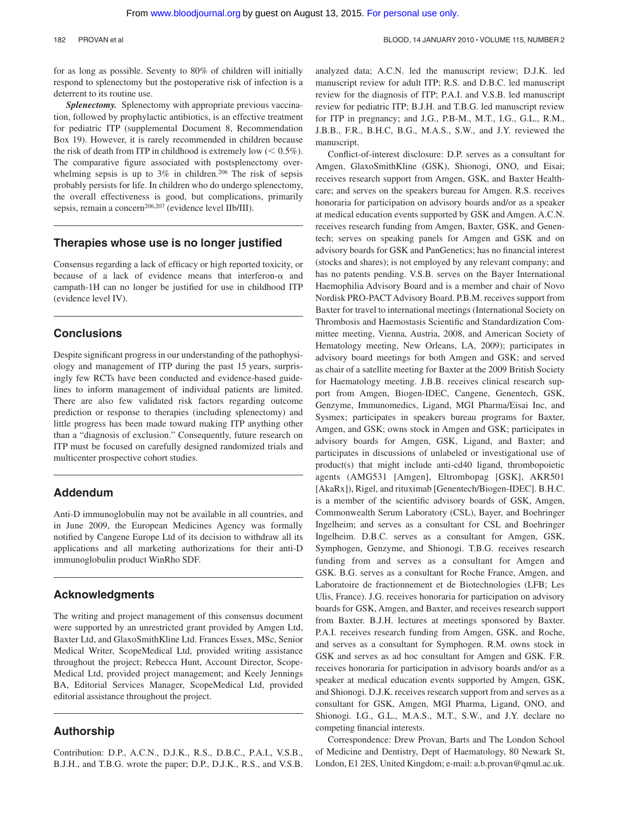for as long as possible. Seventy to 80% of children will initially respond to splenectomy but the postoperative risk of infection is a deterrent to its routine use.

*Splenectomy.* Splenectomy with appropriate previous vaccination, followed by prophylactic antibiotics, is an effective treatment for pediatric ITP (supplemental Document 8, Recommendation Box 19). However, it is rarely recommended in children because the risk of death from ITP in childhood is extremely low  $(< 0.5\%)$ . The comparative figure associated with postsplenectomy overwhelming sepsis is up to  $3\%$  in children.<sup>206</sup> The risk of sepsis probably persists for life. In children who do undergo splenectomy, the overall effectiveness is good, but complications, primarily sepsis, remain a concern<sup>206,207</sup> (evidence level IIb/III).

## **Therapies whose use is no longer justified**

Consensus regarding a lack of efficacy or high reported toxicity, or because of a lack of evidence means that interferon- $\alpha$  and campath-1H can no longer be justified for use in childhood ITP (evidence level IV).

## **Conclusions**

Despite significant progress in our understanding of the pathophysiology and management of ITP during the past 15 years, surprisingly few RCTs have been conducted and evidence-based guidelines to inform management of individual patients are limited. There are also few validated risk factors regarding outcome prediction or response to therapies (including splenectomy) and little progress has been made toward making ITP anything other than a "diagnosis of exclusion." Consequently, future research on ITP must be focused on carefully designed randomized trials and multicenter prospective cohort studies.

## **Addendum**

Anti-D immunoglobulin may not be available in all countries, and in June 2009, the European Medicines Agency was formally notified by Cangene Europe Ltd of its decision to withdraw all its applications and all marketing authorizations for their anti-D immunoglobulin product WinRho SDF.

## **Acknowledgments**

The writing and project management of this consensus document were supported by an unrestricted grant provided by Amgen Ltd, Baxter Ltd, and GlaxoSmithKline Ltd. Frances Essex, MSc, Senior Medical Writer, ScopeMedical Ltd, provided writing assistance throughout the project; Rebecca Hunt, Account Director, Scope-Medical Ltd, provided project management; and Keely Jennings BA, Editorial Services Manager, ScopeMedical Ltd, provided editorial assistance throughout the project.

## **Authorship**

Contribution: D.P., A.C.N., D.J.K., R.S., D.B.C., P.A.I., V.S.B., B.J.H., and T.B.G. wrote the paper; D.P., D.J.K., R.S., and V.S.B. analyzed data; A.C.N. led the manuscript review; D.J.K. led manuscript review for adult ITP; R.S. and D.B.C. led manuscript review for the diagnosis of ITP; P.A.I. and V.S.B. led manuscript review for pediatric ITP; B.J.H. and T.B.G. led manuscript review for ITP in pregnancy; and J.G., P.B-M., M.T., I.G., G.L., R.M., J.B.B., F.R., B.H.C, B.G., M.A.S., S.W., and J.Y. reviewed the manuscript.

Conflict-of-interest disclosure: D.P. serves as a consultant for Amgen, GlaxoSmithKline (GSK), Shionogi, ONO, and Eisai; receives research support from Amgen, GSK, and Baxter Healthcare; and serves on the speakers bureau for Amgen. R.S. receives honoraria for participation on advisory boards and/or as a speaker at medical education events supported by GSK and Amgen. A.C.N. receives research funding from Amgen, Baxter, GSK, and Genentech; serves on speaking panels for Amgen and GSK and on advisory boards for GSK and PanGenetics; has no financial interest (stocks and shares); is not employed by any relevant company; and has no patents pending. V.S.B. serves on the Bayer International Haemophilia Advisory Board and is a member and chair of Novo Nordisk PRO-PACT Advisory Board. P.B.M. receives support from Baxter for travel to international meetings (International Society on Thrombosis and Haemostasis Scientific and Standardization Committee meeting, Vienna, Austria, 2008, and American Society of Hematology meeting, New Orleans, LA, 2009); participates in advisory board meetings for both Amgen and GSK; and served as chair of a satellite meeting for Baxter at the 2009 British Society for Haematology meeting. J.B.B. receives clinical research support from Amgen, Biogen-IDEC, Cangene, Genentech, GSK, Genzyme, Immunomedics, Ligand, MGI Pharma/Eisai Inc, and Sysmex; participates in speakers bureau programs for Baxter, Amgen, and GSK; owns stock in Amgen and GSK; participates in advisory boards for Amgen, GSK, Ligand, and Baxter; and participates in discussions of unlabeled or investigational use of product(s) that might include anti-cd40 ligand, thrombopoietic agents (AMG531 [Amgen], Eltrombopag [GSK], AKR501 [AkaRx]), Rigel, and rituximab [Genentech/Biogen-IDEC]. B.H.C. is a member of the scientific advisory boards of GSK, Amgen, Commonwealth Serum Laboratory (CSL), Bayer, and Boehringer Ingelheim; and serves as a consultant for CSL and Boehringer Ingelheim. D.B.C. serves as a consultant for Amgen, GSK, Symphogen, Genzyme, and Shionogi. T.B.G. receives research funding from and serves as a consultant for Amgen and GSK. B.G. serves as a consultant for Roche France, Amgen, and Laboratoire de fractionnement et de Biotechnologies (LFB; Les Ulis, France). J.G. receives honoraria for participation on advisory boards for GSK, Amgen, and Baxter, and receives research support from Baxter. B.J.H. lectures at meetings sponsored by Baxter. P.A.I. receives research funding from Amgen, GSK, and Roche, and serves as a consultant for Symphogen. R.M. owns stock in GSK and serves as ad hoc consultant for Amgen and GSK. F.R. receives honoraria for participation in advisory boards and/or as a speaker at medical education events supported by Amgen, GSK, and Shionogi. D.J.K. receives research support from and serves as a consultant for GSK, Amgen, MGI Pharma, Ligand, ONO, and Shionogi. I.G., G.L., M.A.S., M.T., S.W., and J.Y. declare no competing financial interests.

Correspondence: Drew Provan, Barts and The London School of Medicine and Dentistry, Dept of Haematology, 80 Newark St, London, E1 2ES, United Kingdom; e-mail: a.b.provan@qmul.ac.uk.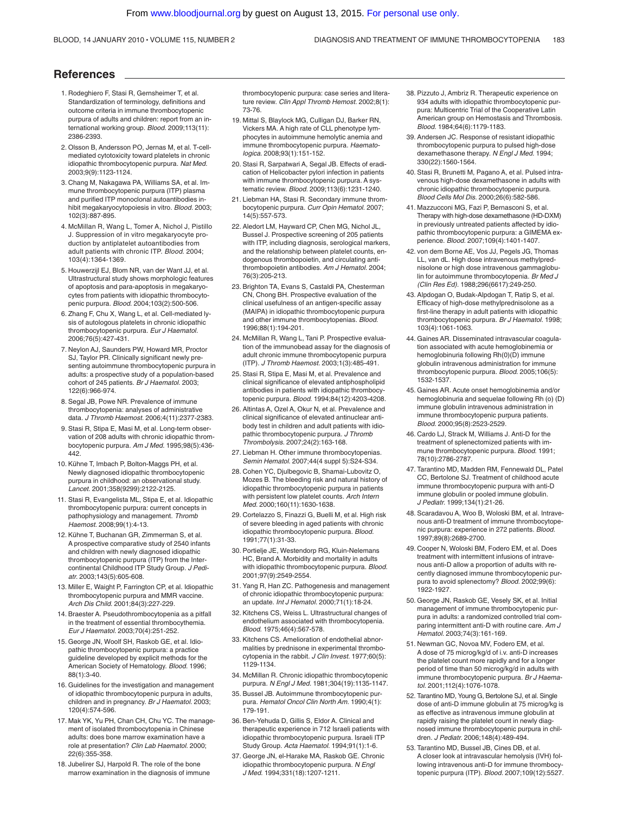## **References**

- 1. Rodeghiero F, Stasi R, Gernsheimer T, et al. Standardization of terminology, definitions and outcome criteria in immune thrombocytopenic purpura of adults and children: report from an international working group. *Blood.* 2009;113(11): 2386-2393.
- 2. Olsson B, Andersson PO, Jernas M, et al. T-cellmediated cytotoxicity toward platelets in chronic idiopathic thrombocytopenic purpura. *Nat Med.* 2003;9(9):1123-1124.
- 3. Chang M, Nakagawa PA, Williams SA, et al. Immune thrombocytopenic purpura (ITP) plasma and purified ITP monoclonal autoantibodies inhibit megakaryocytopoiesis in vitro. *Blood.* 2003; 102(3):887-895.
- 4. McMillan R, Wang L, Tomer A, Nichol J, Pistillo J. Suppression of in vitro megakaryocyte production by antiplatelet autoantibodies from adult patients with chronic ITP. *Blood.* 2004; 103(4):1364-1369.
- 5. Houwerzijl EJ, Blom NR, van der Want JJ, et al. Ultrastructural study shows morphologic features of apoptosis and para-apoptosis in megakaryocytes from patients with idiopathic thrombocytopenic purpura. *Blood.* 2004;103(2):500-506.
- 6. Zhang F, Chu X, Wang L, et al. Cell-mediated lysis of autologous platelets in chronic idiopathic thrombocytopenic purpura. *Eur J Haematol.* 2006;76(5):427-431.
- 7. Neylon AJ, Saunders PW, Howard MR, Proctor SJ, Taylor PR. Clinically significant newly presenting autoimmune thrombocytopenic purpura in adults: a prospective study of a population-based cohort of 245 patients. *Br J Haematol.* 2003; 122(6):966-974.
- 8. Segal JB, Powe NR. Prevalence of immune thrombocytopenia: analyses of administrative data. *J Thromb Haemost.* 2006;4(11):2377-2383.
- 9. Stasi R, Stipa E, Masi M, et al. Long-term observation of 208 adults with chronic idiopathic thrombocytopenic purpura. *Am J Med.* 1995;98(5):436- 442.
- 10. Kühne T, Imbach P, Bolton-Maggs PH, et al. Newly diagnosed idiopathic thrombocytopenic purpura in childhood: an observational study. *Lancet.* 2001;358(9299):2122-2125.
- 11. Stasi R, Evangelista ML, Stipa E, et al. Idiopathic thrombocytopenic purpura: current concepts in pathophysiology and management. *Thromb Haemost.* 2008;99(1):4-13.
- 12. Kühne T, Buchanan GR, Zimmerman S, et al. A prospective comparative study of 2540 infants and children with newly diagnosed idiopathic thrombocytopenic purpura (ITP) from the Intercontinental Childhood ITP Study Group. *J Pediatr.* 2003;143(5):605-608.
- 13. Miller E, Waight P, Farrington CP, et al. Idiopathic thrombocytopenic purpura and MMR vaccine. *Arch Dis Child.* 2001;84(3):227-229.
- 14. Braester A. Pseudothrombocytopenia as a pitfall in the treatment of essential thrombocythemia. *Eur J Haematol.* 2003;70(4):251-252.
- 15. George JN, Woolf SH, Raskob GE, et al. Idiopathic thrombocytopenic purpura: a practice guideline developed by explicit methods for the American Society of Hematology. *Blood.* 1996; 88(1):3-40.
- 16. Guidelines for the investigation and management of idiopathic thrombocytopenic purpura in adults, children and in pregnancy. *Br J Haematol.* 2003; 120(4):574-596.
- 17. Mak YK, Yu PH, Chan CH, Chu YC. The management of isolated thrombocytopenia in Chinese adults: does bone marrow examination have a role at presentation? *Clin Lab Haematol.* 2000; 22(6):355-358.
- 18. Jubelirer SJ, Harpold R. The role of the bone marrow examination in the diagnosis of immune

thrombocytopenic purpura: case series and literature review. *Clin Appl Thromb Hemost.* 2002;8(1): 73-76.

- 19. Mittal S, Blaylock MG, Culligan DJ, Barker RN, Vickers MA. A high rate of CLL phenotype lymphocytes in autoimmune hemolytic anemia and immune thrombocytopenic purpura. *Haematologica.* 2008;93(1):151-152.
- 20. Stasi R, Sarpatwari A, Segal JB. Effects of eradication of Helicobacter pylori infection in patients with immune thrombocytopenic purpura. A systematic review. *Blood.* 2009;113(6):1231-1240.
- 21. Liebman HA, Stasi R. Secondary immune thrombocytopenic purpura. *Curr Opin Hematol.* 2007; 14(5):557-573.
- 22. Aledort LM, Hayward CP, Chen MG, Nichol JL, Bussel J. Prospective screening of 205 patients with ITP, including diagnosis, serological markers, and the relationship between platelet counts, endogenous thrombopoietin, and circulating antithrombopoietin antibodies. *Am J Hematol.* 2004; 76(3):205-213.
- 23. Brighton TA, Evans S, Castaldi PA, Chesterman CN, Chong BH. Prospective evaluation of the clinical usefulness of an antigen-specific assay (MAIPA) in idiopathic thrombocytopenic purpura and other immune thrombocytopenias. *Blood.* 1996;88(1):194-201.
- 24. McMillan R, Wang L, Tani P. Prospective evaluation of the immunobead assay for the diagnosis of adult chronic immune thrombocytopenic purpura (ITP). *J Thromb Haemost.* 2003;1(3):485-491.
- 25. Stasi R, Stipa E, Masi M, et al. Prevalence and clinical significance of elevated antiphospholipid antibodies in patients with idiopathic thrombocytopenic purpura. *Blood.* 1994;84(12):4203-4208.
- 26. Altintas A, Ozel A, Okur N, et al. Prevalence and clinical significance of elevated antinuclear antibody test in children and adult patients with idiopathic thrombocytopenic purpura. *J Thromb Thrombolysis.* 2007;24(2):163-168.
- 27. Liebman H. Other immune thrombocytopenias. *Semin Hematol*. 2007;44(4 suppl 5):S24-S34.
- 28. Cohen YC, Djulbegovic B, Shamai-Lubovitz O, Mozes B. The bleeding risk and natural history of idiopathic thrombocytopenic purpura in patients with persistent low platelet counts. *Arch Intern Med.* 2000;160(11):1630-1638.
- 29. Cortelazzo S, Finazzi G, Buelli M, et al. High risk of severe bleeding in aged patients with chronic idiopathic thrombocytopenic purpura. *Blood.* 1991;77(1):31-33.
- 30. Portielje JE, Westendorp RG, Kluin-Nelemans HC, Brand A. Morbidity and mortality in adults with idiopathic thrombocytopenic purpura. *Blood.* 2001;97(9):2549-2554.
- 31. Yang R, Han ZC. Pathogenesis and management of chronic idiopathic thrombocytopenic purpura: an update. *Int J Hematol.* 2000;71(1):18-24.
- 32. Kitchens CS, Weiss L. Ultrastructural changes of endothelium associated with thrombocytopenia. *Blood.* 1975;46(4):567-578.
- 33. Kitchens CS. Amelioration of endothelial abnormalities by prednisone in experimental thrombocytopenia in the rabbit. *J Clin Invest.* 1977;60(5): 1129-1134.
- 34. McMillan R. Chronic idiopathic thrombocytopenic purpura. *N Engl J Med.* 1981;304(19):1135-1147.
- 35. Bussel JB. Autoimmune thrombocytopenic purpura. *Hematol Oncol Clin North Am.* 1990;4(1): 179-191.
- 36. Ben-Yehuda D, Gillis S, Eldor A. Clinical and therapeutic experience in 712 Israeli patients with idiopathic thrombocytopenic purpura. Israeli ITP Study Group. *Acta Haematol.* 1994;91(1):1-6.
- 37. George JN, el-Harake MA, Raskob GE. Chronic idiopathic thrombocytopenic purpura. *N Engl J Med.* 1994;331(18):1207-1211.
- 38. Pizzuto J, Ambriz R. Therapeutic experience on 934 adults with idiopathic thrombocytopenic purpura: Multicentric Trial of the Cooperative Latin American group on Hemostasis and Thrombosis. *Blood.* 1984;64(6):1179-1183.
- 39. Andersen JC. Response of resistant idiopathic thrombocytopenic purpura to pulsed high-dose dexamethasone therapy. *N Engl J Med.* 1994; 330(22):1560-1564.
- 40. Stasi R, Brunetti M, Pagano A, et al. Pulsed intravenous high-dose dexamethasone in adults with chronic idiopathic thrombocytopenic purpura. *Blood Cells Mol Dis.* 2000;26(6):582-586.
- 41. Mazzucconi MG, Fazi P, Bernasconi S, et al. Therapy with high-dose dexamethasone (HD-DXM) in previously untreated patients affected by idiopathic thrombocytopenic purpura: a GIMEMA experience. *Blood.* 2007;109(4):1401-1407.
- 42. von dem Borne AE, Vos JJ, Pegels JG, Thomas LL, van dL. High dose intravenous methylprednisolone or high dose intravenous gammaglobulin for autoimmune thrombocytopenia. *Br Med J (Clin Res Ed).* 1988;296(6617):249-250.
- 43. Alpdogan O, Budak-Alpdogan T, Ratip S, et al. Efficacy of high-dose methylprednisolone as a first-line therapy in adult patients with idiopathic thrombocytopenic purpura. *Br J Haematol.* 1998; 103(4):1061-1063.
- 44. Gaines AR. Disseminated intravascular coagulation associated with acute hemoglobinemia or hemoglobinuria following Rh(0)(D) immune globulin intravenous administration for immune thrombocytopenic purpura. *Blood.* 2005;106(5): 1532-1537.
- 45. Gaines AR. Acute onset hemoglobinemia and/or hemoglobinuria and sequelae following Rh (o) (D) immune globulin intravenous administration in immune thrombocytopenic purpura patients. *Blood.* 2000;95(8):2523-2529.
- 46. Cardo LJ, Strack M, Williams J. Anti-D for the treatment of splenectomized patients with immune thrombocytopenic purpura. *Blood.* 1991; 78(10):2786-2787.
- 47. Tarantino MD, Madden RM, Fennewald DL, Patel CC, Bertolone SJ. Treatment of childhood acute immune thrombocytopenic purpura with anti-D immune globulin or pooled immune globulin. *J Pediatr.* 1999;134(1):21-26.
- 48. Scaradavou A, Woo B, Woloski BM, et al. Intravenous anti-D treatment of immune thrombocytopenic purpura: experience in 272 patients. *Blood.* 1997;89(8):2689-2700.
- 49. Cooper N, Woloski BM, Fodero EM, et al. Does treatment with intermittent infusions of intravenous anti-D allow a proportion of adults with recently diagnosed immune thrombocytopenic purpura to avoid splenectomy? *Blood.* 2002;99(6): 1922-1927.
- 50. George JN, Raskob GE, Vesely SK, et al. Initial management of immune thrombocytopenic purpura in adults: a randomized controlled trial comparing intermittent anti-D with routine care. *Am J Hematol.* 2003;74(3):161-169.
- 51. Newman GC, Novoa MV, Fodero EM, et al. A dose of 75 microg/kg/d of i.v. anti-D increases the platelet count more rapidly and for a longer period of time than 50 microg/kg/d in adults with immune thrombocytopenic purpura. *Br J Haematol.* 2001;112(4):1076-1078.
- 52. Tarantino MD, Young G, Bertolone SJ, et al. Single dose of anti-D immune globulin at 75 microg/kg is as effective as intravenous immune globulin at rapidly raising the platelet count in newly diagnosed immune thrombocytopenic purpura in children. *J Pediatr.* 2006;148(4):489-494.
- 53. Tarantino MD, Bussel JB, Cines DB, et al. A closer look at intravascular hemolysis (IVH) following intravenous anti-D for immune thrombocytopenic purpura (ITP). *Blood.* 2007;109(12):5527.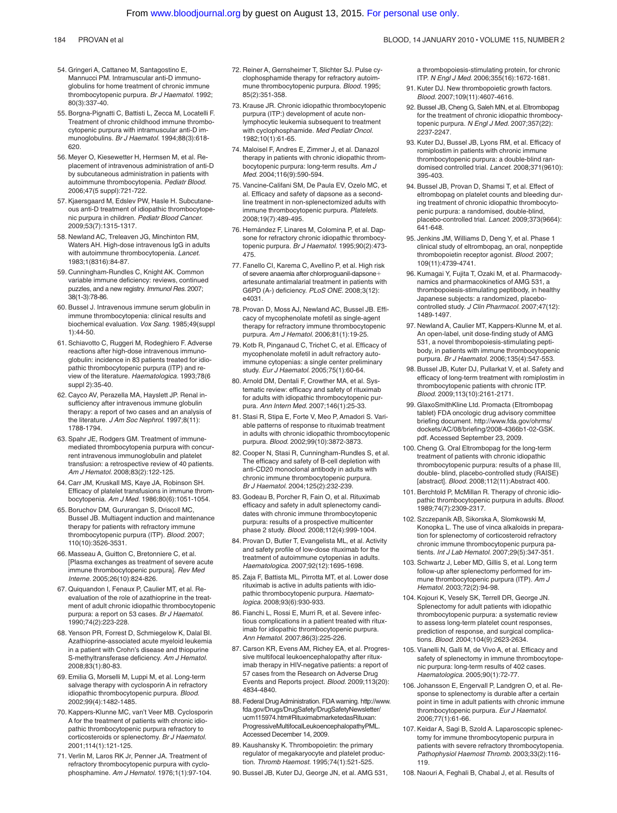- 54. Gringeri A, Cattaneo M, Santagostino E, Mannucci PM. Intramuscular anti-D immunoglobulins for home treatment of chronic immune thrombocytopenic purpura. *Br J Haematol.* 1992; 80(3):337-40.
- 55. Borgna-Pignatti C, Battisti L, Zecca M, Locatelli F. Treatment of chronic childhood immune thrombocytopenic purpura with intramuscular anti-D immunoglobulins. *Br J Haematol.* 1994;88(3):618- 620.
- 56. Meyer O, Kiesewetter H, Hermsen M, et al. Replacement of intravenous administration of anti-D by subcutaneous administration in patients with autoimmune thrombocytopenia. *Pediatr Blood.* 2006;47(5 suppl):721-722.
- 57. Kjaersgaard M, Edslev PW, Hasle H. Subcutaneous anti-D treatment of idiopathic thrombocytopenic purpura in children. *Pediatr Blood Cancer.* 2009;53(7):1315-1317.
- 58. Newland AC, Treleaven JG, Minchinton RM, Waters AH. High-dose intravenous IgG in adults with autoimmune thrombocytopenia. *Lancet.* 1983;1(8316):84-87.
- 59. Cunningham-Rundles C, Knight AK. Common variable immune deficiency: reviews, continued puzzles, and a new registry. *Immunol Res.* 2007; 38(1-3):78-86.
- 60. Bussel J. Intravenous immune serum globulin in immune thrombocytopenia: clinical results and biochemical evaluation. *Vox Sang.* 1985;49(suppl 1):44-50.
- 61. Schiavotto C, Ruggeri M, Rodeghiero F. Adverse reactions after high-dose intravenous immunoglobulin: incidence in 83 patients treated for idiopathic thrombocytopenic purpura (ITP) and review of the literature. *Haematologica.* 1993;78(6 suppl 2):35-40
- 62. Cayco AV, Perazella MA, Hayslett JP. Renal insufficiency after intravenous immune globulin therapy: a report of two cases and an analysis of the literature. *J Am Soc Nephrol.* 1997;8(11): 1788-1794.
- 63. Spahr JE, Rodgers GM. Treatment of immunemediated thrombocytopenia purpura with concurrent intravenous immunoglobulin and platelet transfusion: a retrospective review of 40 patients. *Am J Hematol.* 2008;83(2):122-125.
- 64. Carr JM, Kruskall MS, Kaye JA, Robinson SH. Efficacy of platelet transfusions in immune thrombocytopenia. *Am J Med.* 1986;80(6):1051-1054.
- 65. Boruchov DM, Gururangan S, Driscoll MC, Bussel JB. Multiagent induction and maintenance therapy for patients with refractory immune thrombocytopenic purpura (ITP). *Blood.* 2007; 110(10):3526-3531.
- 66. Masseau A, Guitton C, Bretonniere C, et al. [Plasma exchanges as treatment of severe acute immune thrombocytopenic purpura]. *Rev Med Interne.* 2005;26(10):824-826.
- 67. Quiquandon I, Fenaux P, Caulier MT, et al. Reevaluation of the role of azathioprine in the treatment of adult chronic idiopathic thrombocytopenic purpura: a report on 53 cases. *Br J Haematol.* 1990;74(2):223-228.
- 68. Yenson PR, Forrest D, Schmiegelow K, Dalal BI. Azathioprine-associated acute myeloid leukemia in a patient with Crohn's disease and thiopurine S-methyltransferase deficiency. *Am J Hematol.* 2008;83(1):80-83.
- 69. Emilia G, Morselli M, Luppi M, et al. Long-term salvage therapy with cyclosporin A in refractory idiopathic thrombocytopenic purpura. *Blood.* 2002;99(4):1482-1485.
- 70. Kappers-Klunne MC, van't Veer MB. Cyclosporin A for the treatment of patients with chronic idiopathic thrombocytopenic purpura refractory to corticosteroids or splenectomy. *Br J Haematol.* 2001;114(1):121-125.
- 71. Verlin M, Laros RK Jr, Penner JA. Treatment of refractory thrombocytopenic purpura with cyclophosphamine. *Am J Hematol.* 1976;1(1):97-104.
- 72. Reiner A, Gernsheimer T, Slichter SJ. Pulse cyclophosphamide therapy for refractory autoimmune thrombocytopenic purpura. *Blood.* 1995; 85(2):351-358.
- 73. Krause JR. Chronic idiopathic thrombocytopenic purpura (ITP:) development of acute nonlymphocytic leukemia subsequent to treatment with cyclophosphamide. *Med Pediatr Oncol.* 1982;10(1):61-65.
- 74. Maloisel F, Andres E, Zimmer J, et al. Danazol therapy in patients with chronic idiopathic thrombocytopenic purpura: long-term results. *Am J Med*. 2004;116(9):590-594.
- 75. Vancine-Califani SM, De Paula EV, Ozelo MC, et al. Efficacy and safety of dapsone as a secondline treatment in non-splenectomized adults with immune thrombocytopenic purpura. *Platelets.* 2008;19(7):489-495.
- 76. Hernández F, Linares M, Colomina P, et al. Dapsone for refractory chronic idiopathic thrombocytopenic purpura. *Br J Haematol.* 1995;90(2):473- 475.
- 77. Fanello CI, Karema C, Avellino P, et al. High risk of severe anaemia after chlorproguanil-dapsone artesunate antimalarial treatment in patients with G6PD (A-) deficiency. *PLoS ONE*. 2008;3(12): e4031.
- 78. Provan D, Moss AJ, Newland AC, Bussel JB. Efficacy of mycophenolate mofetil as single-agent therapy for refractory immune thrombocytopenic purpura. *Am J Hematol.* 2006;81(1):19-25.
- 79. Kotb R, Pinganaud C, Trichet C, et al. Efficacy of mycophenolate mofetil in adult refractory autoimmune cytopenias: a single center preliminary study. *Eur J Haematol.* 2005;75(1):60-64.
- 80. Arnold DM, Dentali F, Crowther MA, et al. Systematic review: efficacy and safety of rituximab for adults with idiopathic thrombocytopenic purpura. *Ann Intern Med.* 2007;146(1):25-33.
- 81. Stasi R, Stipa E, Forte V, Meo P, Amadori S. Variable patterns of response to rituximab treatment in adults with chronic idiopathic thrombocytopenic purpura. *Blood.* 2002;99(10):3872-3873.
- 82. Cooper N, Stasi R, Cunningham-Rundles S, et al. The efficacy and safety of B-cell depletion with anti-CD20 monoclonal antibody in adults with chronic immune thrombocytopenic purpura. *Br J Haematol.* 2004;125(2):232-239.
- 83. Godeau B, Porcher R, Fain O, et al. Rituximab efficacy and safety in adult splenectomy candidates with chronic immune thrombocytopenic purpura: results of a prospective multicenter phase 2 study. *Blood.* 2008;112(4):999-1004.
- 84. Provan D, Butler T, Evangelista ML, et al. Activity and safety profile of low-dose rituximab for the treatment of autoimmune cytopenias in adults. *Haematologica.* 2007;92(12):1695-1698.
- 85. Zaja F, Battista ML, Pirrotta MT, et al. Lower dose rituximab is active in adults patients with idiopathic thrombocytopenic purpura. *Haematologica.* 2008;93(6):930-933.
- 86. Fianchi L, Rossi E, Murri R, et al. Severe infectious complications in a patient treated with rituximab for idiopathic thrombocytopenic purpura. *Ann Hematol.* 2007;86(3):225-226.
- 87. Carson KR, Evens AM, Richey EA, et al. Progressive multifocal leukoencephalopathy after rituximab therapy in HIV-negative patients: a report of 57 cases from the Research on Adverse Drug Events and Reports project. *Blood.* 2009;113(20): 4834-4840.
- 88. Federal DrugAdministration. FDAwarning. http://www. fda.gov/Drugs/DrugSafety/DrugSafetyNewsletter/ ucm115974.htm#RituximabmarketedasRituxan: ProgressiveMultifocalLeukoencephalopathyPML. Accessed December 14, 2009.
- 89. Kaushansky K. Thrombopoietin: the primary regulator of megakaryocyte and platelet production. *Thromb Haemost.* 1995;74(1):521-525.
- 90. Bussel JB, Kuter DJ, George JN, et al. AMG 531,

a thrombopoiesis-stimulating protein, for chronic ITP. *N Engl J Med.* 2006;355(16):1672-1681.

- 91. Kuter DJ. New thrombopoietic growth factors. *Blood.* 2007;109(11):4607-4616.
- 92. Bussel JB, Cheng G, Saleh MN, et al. Eltrombopag for the treatment of chronic idiopathic thrombocytopenic purpura. *N Engl J Med.* 2007;357(22): 2237-2247.
- 93. Kuter DJ, Bussel JB, Lyons RM, et al. Efficacy of romiplostim in patients with chronic immune thrombocytopenic purpura: a double-blind randomised controlled trial. *Lancet.* 2008;371(9610): 395-403.
- 94. Bussel JB, Provan D, Shamsi T, et al. Effect of eltrombopag on platelet counts and bleeding during treatment of chronic idiopathic thrombocytopenic purpura: a randomised, double-blind, placebo-controlled trial. *Lancet.* 2009;373(9664): 641-648.
- 95. Jenkins JM, Williams D, Deng Y, et al. Phase 1 clinical study of eltrombopag, an oral, nonpeptide thrombopoietin receptor agonist. *Blood.* 2007; 109(11):4739-4741.
- 96. Kumagai Y, Fujita T, Ozaki M, et al. Pharmacodynamics and pharmacokinetics of AMG 531, a thrombopoiesis-stimulating peptibody, in healthy Japanese subjects: a randomized, placebocontrolled study. *J Clin Pharmacol.* 2007;47(12): 1489-1497.
- 97. Newland A, Caulier MT, Kappers-Klunne M, et al. An open-label, unit dose-finding study of AMG 531, a novel thrombopoiesis-stimulating peptibody, in patients with immune thrombocytopenic purpura. *Br J Haematol.* 2006;135(4):547-553.
- 98. Bussel JB, Kuter DJ, Pullarkat V, et al. Safety and efficacy of long-term treatment with romiplostim in thrombocytopenic patients with chronic ITP. *Blood.* 2009;113(10):2161-2171.
- 99. GlaxoSmithKline Ltd. Promacta (Eltrombopag tablet) FDA oncologic drug advisory committee briefing document. http://www.fda.gov/ohrms/ dockets/AC/08/briefing/2008-4366b1-02-GSK. pdf. Accessed September 23, 2009.
- 100. Cheng G. Oral Eltrombopag for the long-term treatment of patients with chronic idiopathic thrombocytopenic purpura: results of a phase III, double- blind, placebo-controlled study (RAISE) [abstract]. *Blood.* 2008;112(11):Abstract 400.
- 101. Berchtold P, McMillan R. Therapy of chronic idiopathic thrombocytopenic purpura in adults. *Blood.* 1989;74(7):2309-2317.
- 102. Szczepanik AB, Sikorska A, Slomkowski M, Konopka L. The use of vinca alkaloids in preparation for splenectomy of corticosteroid refractory chronic immune thrombocytopenic purpura patients. *Int J Lab Hematol.* 2007;29(5):347-351.
- 103. Schwartz J, Leber MD, Gillis S, et al. Long term follow-up after splenectomy performed for immune thrombocytopenic purpura (ITP). *Am J Hematol.* 2003;72(2):94-98.
- 104. Kojouri K, Vesely SK, Terrell DR, George JN. Splenectomy for adult patients with idiopathic thrombocytopenic purpura: a systematic review to assess long-term platelet count responses, prediction of response, and surgical complications. *Blood.* 2004;104(9):2623-2634.
- 105. Vianelli N, Galli M, de Vivo A, et al. Efficacy and safety of splenectomy in immune thrombocytopenic purpura: long-term results of 402 cases. *Haematologica.* 2005;90(1):72-77.
- 106. Johansson E, Engervall P, Landgren O, et al. Response to splenectomy is durable after a certain point in time in adult patients with chronic immune thrombocytopenic purpura. *Eur J Haematol.* 2006;77(1):61-66.
- 107. Keidar A, Sagi B, Szold A. Laparoscopic splenectomy for immune thrombocytopenic purpura in patients with severe refractory thrombocytopenia. *Pathophysiol Haemost Thromb.* 2003;33(2):116- 119.

108. Naouri A, Feghali B, Chabal J, et al. Results of

#### 184 PROVAN et al BLOOD, 14 JANUARY 2010 • VOLUME 115, NUMBER 2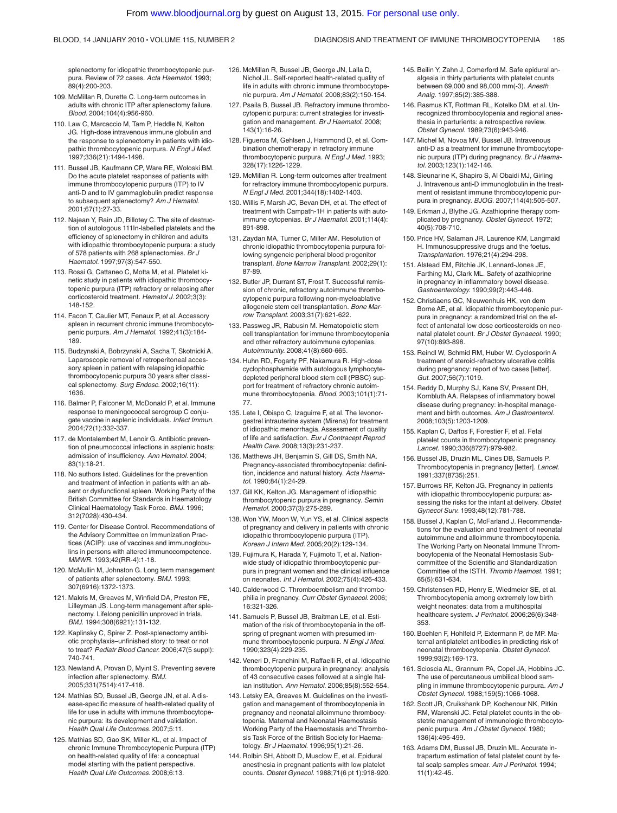#### BLOOD, 14 JANUARY 2010 · VOLUME 115, NUMBER 2 DIAGNOSIS AND TREATMENT OF IMMUNE THROMBOCYTOPENIA 185

splenectomy for idiopathic thrombocytopenic purpura. Review of 72 cases. *Acta Haematol.* 1993; 89(4):200-203.

- 109. McMillan R, Durette C. Long-term outcomes in adults with chronic ITP after splenectomy failure. *Blood.* 2004;104(4):956-960.
- 110. Law C, Marcaccio M, Tam P, Heddle N, Kelton JG. High-dose intravenous immune globulin and the response to splenectomy in patients with idiopathic thrombocytopenic purpura. *N Engl J Med.* 1997;336(21):1494-1498.
- 111. Bussel JB, Kaufmann CP, Ware RE, Woloski BM. Do the acute platelet responses of patients with immune thrombocytopenic purpura (ITP) to IV anti-D and to IV gammaglobulin predict response to subsequent splenectomy? *Am J Hematol.* 2001;67(1):27-33.
- 112. Najean Y, Rain JD, Billotey C. The site of destruction of autologous 111In-labelled platelets and the efficiency of splenectomy in children and adults with idiopathic thrombocytopenic purpura: a study of 578 patients with 268 splenectomies. *Br J Haematol.* 1997;97(3):547-550.
- 113. Rossi G, Cattaneo C, Motta M, et al. Platelet kinetic study in patients with idiopathic thrombocytopenic purpura (ITP) refractory or relapsing after corticosteroid treatment. *Hematol J.* 2002;3(3): 148-152.
- 114. Facon T, Caulier MT, Fenaux P, et al. Accessory spleen in recurrent chronic immune thrombocytopenic purpura. *Am J Hematol.* 1992;41(3):184- 189.
- 115. Budzynski A, Bobrzynski A, Sacha T, Skotnicki A. Laparoscopic removal of retroperitoneal accessory spleen in patient with relapsing idiopathic thrombocytopenic purpura 30 years after classical splenectomy. *Surg Endosc.* 2002;16(11): 1636.
- 116. Balmer P, Falconer M, McDonald P, et al. Immune response to meningococcal serogroup C conjugate vaccine in asplenic individuals. *Infect Immun.* 2004;72(1):332-337.
- 117. de Montalembert M, Lenoir G. Antibiotic prevention of pneumococcal infections in asplenic hosts: admission of insufficiency. *Ann Hematol.* 2004; 83(1):18-21.
- 118. No authors listed. Guidelines for the prevention and treatment of infection in patients with an absent or dysfunctional spleen. Working Party of the British Committee for Standards in Haematology Clinical Haematology Task Force. *BMJ.* 1996; 312(7028):430-434.
- 119. Center for Disease Control. Recommendations of the Advisory Committee on Immunization Practices (ACIP): use of vaccines and immunoglobulins in persons with altered immunocompetence. *MMWR.* 1993;42(RR-4):1-18.
- 120. McMullin M, Johnston G. Long term management of patients after splenectomy. *BMJ.* 1993; 307(6916):1372-1373.
- 121. Makris M, Greaves M, Winfield DA, Preston FE, Lilleyman JS. Long-term management after splenectomy. Lifelong penicillin unproved in trials. *BMJ.* 1994;308(6921):131-132.
- 122. Kaplinsky C, Spirer Z. Post-splenectomy antibiotic prophylaxis–unfinished story: to treat or not to treat? *Pediatr Blood Cancer.* 2006;47(5 suppl): 740-741.
- 123. Newland A, Provan D, Myint S. Preventing severe infection after splenectomy. *BMJ.* 2005;331(7514):417-418.
- 124. Mathias SD, Bussel JB, George JN, et al. A disease-specific measure of health-related quality of life for use in adults with immune thrombocytopenic purpura: its development and validation. *Health Qual Life Outcomes.* 2007;5:11.
- 125. Mathias SD, Gao SK, Miller KL, et al. Impact of chronic Immune Thrombocytopenic Purpura (ITP) on health-related quality of life: a conceptual model starting with the patient perspective. *Health Qual Life Outcomes.* 2008;6:13.
- 126. McMillan R, Bussel JB, George JN, Lalla D, Nichol JL. Self-reported health-related quality of life in adults with chronic immune thrombocytopenic purpura. *Am J Hematol.* 2008;83(2):150-154.
- 127. Psaila B, Bussel JB. Refractory immune thrombocytopenic purpura: current strategies for investigation and management. *Br J Haematol.* 2008; 143(1):16-26.
- 128. Figueroa M, Gehlsen J, Hammond D, et al. Combination chemotherapy in refractory immune thrombocytopenic purpura. *N Engl J Med.* 1993; 328(17):1226-1229.
- 129. McMillan R. Long-term outcomes after treatment for refractory immune thrombocytopenic purpura. *N Engl J Med.* 2001;344(18):1402-1403.
- 130. Willis F, Marsh JC, Bevan DH, et al. The effect of treatment with Campath-1H in patients with autoimmune cytopenias. *Br J Haematol.* 2001;114(4): 891-898.
- 131. Zaydan MA, Turner C, Miller AM. Resolution of chronic idiopathic thrombocytopenia purpura following syngeneic peripheral blood progenitor transplant. *Bone Marrow Transplant.* 2002;29(1): 87-89.
- 132. Butler JP, Durrant ST, Frost T. Successful remission of chronic, refractory autoimmune thrombocytopenic purpura following non-myeloablative allogeneic stem cell transplantation. *Bone Marrow Transplant.* 2003;31(7):621-622.
- 133. Passweg JR, Rabusin M. Hematopoietic stem cell transplantation for immune thrombocytopenia and other refractory autoimmune cytopenias. *Autoimmunity.* 2008;41(8):660-665.
- 134. Huhn RD, Fogarty PF, Nakamura R. High-dose cyclophosphamide with autologous lymphocytedepleted peripheral blood stem cell (PBSC) support for treatment of refractory chronic autoimmune thrombocytopenia. *Blood.* 2003;101(1):71- 77.
- 135. Lete I, Obispo C, Izaguirre F, et al. The levonorgestrel intrauterine system (Mirena) for treatment of idiopathic menorrhagia. Assessment of quality of life and satisfaction. *Eur J Contracept Reprod Health Care.* 2008;13(3):231-237.
- 136. Matthews JH, Benjamin S, Gill DS, Smith NA. Pregnancy-associated thrombocytopenia: definition, incidence and natural history. *Acta Haematol.* 1990;84(1):24-29.
- 137. Gill KK, Kelton JG. Management of idiopathic thrombocytopenic purpura in pregnancy. *Semin Hematol.* 2000;37(3):275-289.
- 138. Won YW, Moon W, Yun YS, et al. Clinical aspects of pregnancy and delivery in patients with chronic idiopathic thrombocytopenic purpura (ITP). *Korean J Intern Med.* 2005;20(2):129-134.
- 139. Fujimura K, Harada Y, Fujimoto T, et al. Nationwide study of idiopathic thrombocytopenic purpura in pregnant women and the clinical influence on neonates. *Int J Hematol.* 2002;75(4):426-433.
- 140. Calderwood C. Thromboembolism and thrombophilia in pregnancy. *Curr Obstet Gynaecol.* 2006; 16:321-326.
- 141. Samuels P, Bussel JB, Braitman LE, et al. Estimation of the risk of thrombocytopenia in the offspring of pregnant women with presumed immune thrombocytopenic purpura. *N Engl J Med.* 1990;323(4):229-235.
- 142. Veneri D, Franchini M, Raffaelli R, et al. Idiopathic thrombocytopenic purpura in pregnancy: analysis of 43 consecutive cases followed at a single Italian institution. *Ann Hematol.* 2006;85(8):552-554.
- 143. Letsky EA, Greaves M. Guidelines on the investigation and management of thrombocytopenia in pregnancy and neonatal alloimmune thrombocytopenia. Maternal and Neonatal Haemostasis Working Party of the Haemostasis and Thrombosis Task Force of the British Society for Haematology. *Br J Haematol.* 1996;95(1):21-26.
- 144. Rolbin SH, Abbott D, Musclow E, et al. Epidural anesthesia in pregnant patients with low platelet counts. *Obstet Gynecol.* 1988;71(6 pt 1):918-920.
- 145. Beilin Y, Zahn J, Comerford M. Safe epidural analgesia in thirty parturients with platelet counts between 69,000 and 98,000 mm(-3). *Anesth Analg.* 1997;85(2):385-388.
- 146. Rasmus KT, Rottman RL, Kotelko DM, et al. Unrecognized thrombocytopenia and regional anesthesia in parturients: a retrospective review. *Obstet Gynecol.* 1989;73(6):943-946.
- 147. Michel M, Novoa MV, Bussel JB. Intravenous anti-D as a treatment for immune thrombocytopenic purpura (ITP) during pregnancy. *Br J Haematol.* 2003;123(1):142-146.
- 148. Sieunarine K, Shapiro S, Al Obaidi MJ, Girling J. Intravenous anti-D immunoglobulin in the treatment of resistant immune thrombocytopenic purpura in pregnancy. *BJOG.* 2007;114(4):505-507.
- 149. Erkman J, Blythe JG. Azathioprine therapy complicated by pregnancy. *Obstet Gynecol.* 1972; 40(5):708-710.
- 150. Price HV, Salaman JR, Laurence KM, Langmaid H. Immunosuppressive drugs and the foetus. *Transplantation.* 1976;21(4):294-298.
- 151. Alstead EM, Ritchie JK, Lennard-Jones JE, Farthing MJ, Clark ML. Safety of azathioprine in pregnancy in inflammatory bowel disease. *Gastroenterology.* 1990;99(2):443-446.
- 152. Christiaens GC, Nieuwenhuis HK, von dem Borne AE, et al. Idiopathic thrombocytopenic purpura in pregnancy: a randomized trial on the effect of antenatal low dose corticosteroids on neonatal platelet count. *Br J Obstet Gynaecol.* 1990; 97(10):893-898.
- 153. Reindl W, Schmid RM, Huber W. Cyclosporin A treatment of steroid-refractory ulcerative colitis during pregnancy: report of two cases [letter]. *Gut.* 2007;56(7):1019.
- 154. Reddy D, Murphy SJ, Kane SV, Present DH, Kornbluth AA. Relapses of inflammatory bowel disease during pregnancy: in-hospital management and birth outcomes. *Am J Gastroenterol.* 2008;103(5):1203-1209.
- 155. Kaplan C, Daffos F, Forestier F, et al. Fetal platelet counts in thrombocytopenic pregnancy. *Lancet.* 1990;336(8727):979-982.
- 156. Bussel JB, Druzin ML, Cines DB, Samuels P. Thrombocytopenia in pregnancy [letter]. *Lancet.* 1991;337(8735):251.
- 157. Burrows RF, Kelton JG. Pregnancy in patients with idiopathic thrombocytopenic purpura: assessing the risks for the infant at delivery. *Obstet Gynecol Surv.* 1993;48(12):781-788.
- 158. Bussel J, Kaplan C, McFarland J. Recommendations for the evaluation and treatment of neonatal autoimmune and alloimmune thrombocytopenia. The Working Party on Neonatal Immune Thrombocytopenia of the Neonatal Hemostasis Subcommittee of the Scientific and Standardization Committee of the ISTH. *Thromb Haemost.* 1991; 65(5):631-634.
- 159. Christensen RD, Henry E, Wiedmeier SE, et al. Thrombocytopenia among extremely low birth weight neonates: data from a multihospital healthcare system. *J Perinatol.* 2006;26(6):348- 353.
- 160. Boehlen F, Hohlfeld P, Extermann P, de MP. Maternal antiplatelet antibodies in predicting risk of neonatal thrombocytopenia. *Obstet Gynecol.* 1999;93(2):169-173.
- 161. Scioscia AL, Grannum PA, Copel JA, Hobbins JC. The use of percutaneous umbilical blood sampling in immune thrombocytopenic purpura. *Am J Obstet Gynecol.* 1988;159(5):1066-1068.
- 162. Scott JR, Cruikshank DP, Kochenour NK, Pitkin RM, Warenski JC. Fetal platelet counts in the obstetric management of immunologic thrombocytopenic purpura. *Am J Obstet Gynecol.* 1980; 136(4):495-499.
- 163. Adams DM, Bussel JB, Druzin ML. Accurate intrapartum estimation of fetal platelet count by fetal scalp samples smear. *Am J Perinatol.* 1994; 11(1):42-45.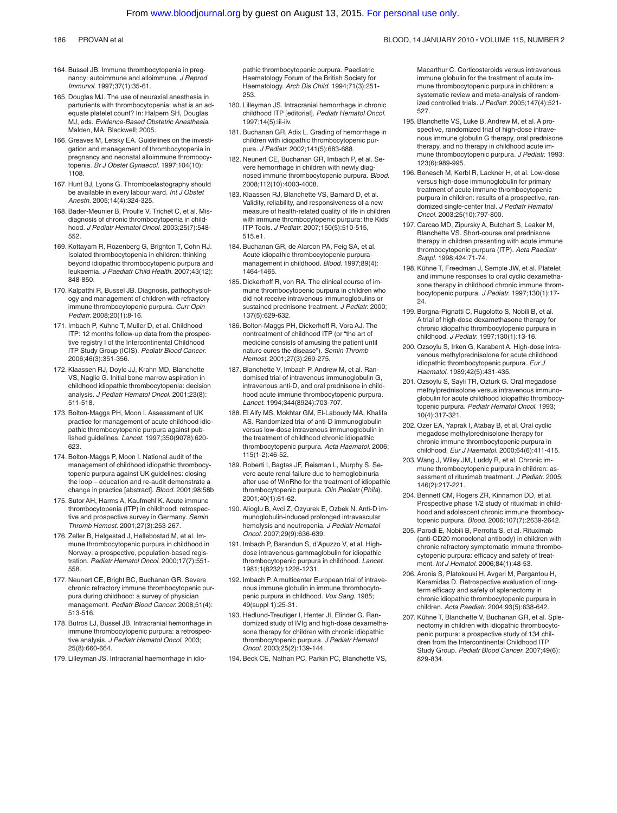- 164. Bussel JB. Immune thrombocytopenia in pregnancy: autoimmune and alloimmune. *J Reprod Immunol.* 1997;37(1):35-61.
- 165. Douglas MJ. The use of neuraxial anesthesia in parturients with thrombocytopenia: what is an adequate platelet count? In: Halpern SH, Douglas MJ, eds. *Evidence-Based Obstetric Anesthesia*. Malden, MA: Blackwell; 2005.
- 166. Greaves M, Letsky EA. Guidelines on the investigation and management of thrombocytopenia in pregnancy and neonatal alloimmune thrombocytopenia. *Br J Obstet Gynaecol.* 1997;104(10): 1108.
- 167. Hunt BJ, Lyons G. Thromboelastography should be available in every labour ward. *Int J Obstet Anesth.* 2005;14(4):324-325.
- 168. Bader-Meunier B, Proulle V, Trichet C, et al. Misdiagnosis of chronic thrombocytopenia in childhood. *J Pediatr Hematol Oncol.* 2003;25(7):548- 552.
- 169. Kottayam R, Rozenberg G, Brighton T, Cohn RJ. Isolated thrombocytopenia in children: thinking beyond idiopathic thrombocytopenic purpura and leukaemia. *J Paediatr Child Health.* 2007;43(12): 848-850.
- 170. Kalpatthi R, Bussel JB. Diagnosis, pathophysiology and management of children with refractory immune thrombocytopenic purpura. *Curr Opin Pediatr.* 2008;20(1):8-16.
- 171. Imbach P, Kuhne T, Muller D, et al. Childhood ITP: 12 months follow-up data from the prospective registry I of the Intercontinental Childhood ITP Study Group (ICIS). *Pediatr Blood Cancer.* 2006;46(3):351-356.
- 172. Klaassen RJ, Doyle JJ, Krahn MD, Blanchette VS, Naglie G. Initial bone marrow aspiration in childhood idiopathic thrombocytopenia: decision analysis. *J Pediatr Hematol Oncol.* 2001;23(8): 511-518.
- 173. Bolton-Maggs PH, Moon I. Assessment of UK practice for management of acute childhood idiopathic thrombocytopenic purpura against published guidelines. *Lancet.* 1997;350(9078):620- 623.
- 174. Bolton-Maggs P, Moon I. National audit of the management of childhood idiopathic thrombocytopenic purpura against UK guidelines: closing the loop – education and re-audit demonstrate a change in practice [abstract]. *Blood.* 2001;98:58b
- 175. Sutor AH, Harms A, Kaufmehl K. Acute immune thrombocytopenia (ITP) in childhood: retrospective and prospective survey in Germany. *Semin Thromb Hemost.* 2001;27(3):253-267.
- 176. Zeller B, Helgestad J, Hellebostad M, et al. Immune thrombocytopenic purpura in childhood in Norway: a prospective, population-based registration. *Pediatr Hematol Oncol.* 2000;17(7):551- 558.
- 177. Neunert CE, Bright BC, Buchanan GR. Severe chronic refractory immune thrombocytopenic purpura during childhood: a survey of physician management. *Pediatr Blood Cancer.* 2008;51(4): 513-516.
- 178. Butros LJ, Bussel JB. Intracranial hemorrhage in immune thrombocytopenic purpura: a retrospective analysis. *J Pediatr Hematol Oncol.* 2003; 25(8):660-664.
- 179. Lilleyman JS. Intracranial haemorrhage in idio-

pathic thrombocytopenic purpura. Paediatric Haematology Forum of the British Society for Haematology. *Arch Dis Child.* 1994;71(3):251- 253.

- 180. Lilleyman JS. Intracranial hemorrhage in chronic childhood ITP [editorial]. *Pediatr Hematol Oncol.* 1997;14(5):iii-iiv.
- 181. Buchanan GR, Adix L. Grading of hemorrhage in children with idiopathic thrombocytopenic purpura. *J Pediatr.* 2002;141(5):683-688.
- 182. Neunert CE, Buchanan GR, Imbach P, et al. Severe hemorrhage in children with newly diagnosed immune thrombocytopenic purpura. *Blood.* 2008;112(10):4003-4008.
- 183. Klaassen RJ, Blanchette VS, Barnard D, et al. Validity, reliability, and responsiveness of a new measure of health-related quality of life in children with immune thrombocytopenic purpura: the Kids' ITP Tools. *J Pediatr.* 2007;150(5):510-515, 515.e1.
- 184. Buchanan GR, de Alarcon PA, Feig SA, et al. Acute idiopathic thrombocytopenic purpura– management in childhood. *Blood.* 1997;89(4): 1464-1465.
- 185. Dickerhoff R, von RA. The clinical course of immune thrombocytopenic purpura in children who did not receive intravenous immunoglobulins or sustained prednisone treatment. *J Pediatr.* 2000; 137(5):629-632.
- 186. Bolton-Maggs PH, Dickerhoff R, Vora AJ. The nontreatment of childhood ITP (or "the art of medicine consists of amusing the patient until nature cures the disease"). *Semin Thromb Hemost.* 2001;27(3):269-275.
- 187. Blanchette V, Imbach P, Andrew M, et al. Randomised trial of intravenous immunoglobulin G, intravenous anti-D, and oral prednisone in childhood acute immune thrombocytopenic purpura. *Lancet.* 1994;344(8924):703-707.
- 188. El Alfy MS, Mokhtar GM, El-Laboudy MA, Khalifa AS. Randomized trial of anti-D immunoglobulin versus low-dose intravenous immunoglobulin in the treatment of childhood chronic idiopathic thrombocytopenic purpura. *Acta Haematol.* 2006; 115(1-2):46-52.
- 189. Roberti I, Bagtas JF, Reisman L, Murphy S. Severe acute renal failure due to hemoglobinuria after use of WinRho for the treatment of idiopathic thrombocytopenic purpura. *Clin Pediatr* (*Phila*). 2001;40(1):61-62.
- 190. Alioglu B, Avci Z, Ozyurek E, Ozbek N. Anti-D immunoglobulin-induced prolonged intravascular hemolysis and neutropenia. *J Pediatr Hematol Oncol.* 2007;29(9):636-639.
- 191. Imbach P, Barandun S, d'Apuzzo V, et al. Highdose intravenous gammaglobulin for idiopathic thrombocytopenic purpura in childhood. *Lancet.* 1981;1(8232):1228-1231.
- 192. Imbach P. A multicenter European trial of intravenous immune globulin in immune thrombocytopenic purpura in childhood. *Vox Sang.* 1985; 49(suppl 1):25-31.
- 193. Hedlund-Treutiger I, Henter JI, Elinder G. Randomized study of IVIg and high-dose dexamethasone therapy for children with chronic idiopathic thrombocytopenic purpura. *J Pediatr Hematol Oncol.* 2003;25(2):139-144.
- 194. Beck CE, Nathan PC, Parkin PC, Blanchette VS,

Macarthur C. Corticosteroids versus intravenous immune globulin for the treatment of acute immune thrombocytopenic purpura in children: a systematic review and meta-analysis of randomized controlled trials. *J Pediatr.* 2005;147(4):521- 527.

- 195. Blanchette VS, Luke B, Andrew M, et al. A prospective, randomized trial of high-dose intravenous immune globulin G therapy, oral prednisone therapy, and no therapy in childhood acute immune thrombocytopenic purpura. *J Pediatr.* 1993; 123(6):989-995.
- 196. Benesch M, Kerbl R, Lackner H, et al. Low-dose versus high-dose immunoglobulin for primary treatment of acute immune thrombocytopenic purpura in children: results of a prospective, randomized single-center trial. *J Pediatr Hematol Oncol.* 2003;25(10):797-800.
- 197. Carcao MD, Zipursky A, Butchart S, Leaker M, Blanchette VS. Short-course oral prednisone therapy in children presenting with acute immune thrombocytopenic purpura (ITP). *Acta Paediatr Suppl.* 1998;424:71-74.
- 198. Kühne T, Freedman J, Semple JW, et al. Platelet and immune responses to oral cyclic dexamethasone therapy in childhood chronic immune thrombocytopenic purpura. *J Pediatr.* 1997;130(1):17- 24.
- 199. Borgna-Pignatti C, Rugolotto S, Nobili B, et al. A trial of high-dose dexamethasone therapy for chronic idiopathic thrombocytopenic purpura in childhood. *J Pediatr.* 1997;130(1):13-16.
- 200. Ozsoylu S, Irken G, Karabent A. High-dose intravenous methylprednisolone for acute childhood idiopathic thrombocytopenic purpura. *Eur J Haematol.* 1989;42(5):431-435.
- 201. Ozsoylu S, Sayli TR, Ozturk G. Oral megadose methylprednisolone versus intravenous immunoglobulin for acute childhood idiopathic thrombocytopenic purpura. *Pediatr Hematol Oncol.* 1993; 10(4):317-321.
- 202. Ozer EA, Yaprak I, Atabay B, et al. Oral cyclic megadose methylprednisolone therapy for chronic immune thrombocytopenic purpura in childhood. *Eur J Haematol.* 2000;64(6):411-415.
- 203. Wang J, Wiley JM, Luddy R, et al. Chronic immune thrombocytopenic purpura in children: assessment of rituximab treatment. *J Pediatr.* 2005; 146(2):217-221.
- 204. Bennett CM, Rogers ZR, Kinnamon DD, et al. Prospective phase 1/2 study of rituximab in childhood and adolescent chronic immune thrombocytopenic purpura. *Blood.* 2006;107(7):2639-2642.
- 205. Parodi E, Nobili B, Perrotta S, et al. Rituximab (anti-CD20 monoclonal antibody) in children with chronic refractory symptomatic immune thrombocytopenic purpura: efficacy and safety of treatment. *Int J Hematol.* 2006;84(1):48-53.
- 206. Aronis S, Platokouki H, Avgeri M, Pergantou H, Keramidas D. Retrospective evaluation of longterm efficacy and safety of splenectomy in chronic idiopathic thrombocytopenic purpura in children. *Acta Paediatr.* 2004;93(5):638-642.
- 207. Kühne T, Blanchette V, Buchanan GR, et al. Splenectomy in children with idiopathic thrombocytopenic purpura: a prospective study of 134 children from the Intercontinental Childhood ITP Study Group. *Pediatr Blood Cancer.* 2007;49(6): 829-834.